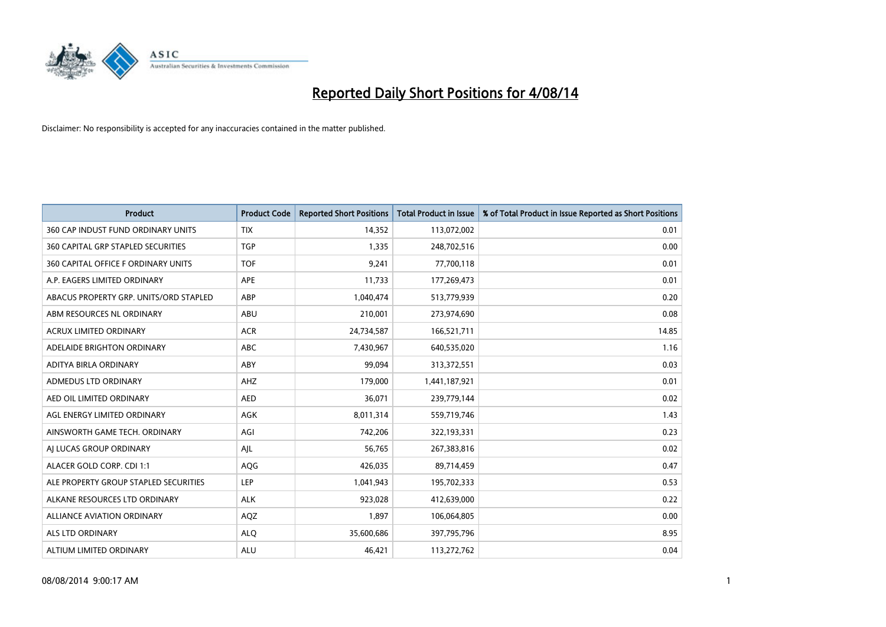

| <b>Product</b>                         | <b>Product Code</b> | <b>Reported Short Positions</b> | <b>Total Product in Issue</b> | % of Total Product in Issue Reported as Short Positions |
|----------------------------------------|---------------------|---------------------------------|-------------------------------|---------------------------------------------------------|
| 360 CAP INDUST FUND ORDINARY UNITS     | <b>TIX</b>          | 14,352                          | 113,072,002                   | 0.01                                                    |
| 360 CAPITAL GRP STAPLED SECURITIES     | <b>TGP</b>          | 1,335                           | 248,702,516                   | 0.00                                                    |
| 360 CAPITAL OFFICE F ORDINARY UNITS    | <b>TOF</b>          | 9,241                           | 77,700,118                    | 0.01                                                    |
| A.P. EAGERS LIMITED ORDINARY           | APE                 | 11,733                          | 177,269,473                   | 0.01                                                    |
| ABACUS PROPERTY GRP. UNITS/ORD STAPLED | ABP                 | 1,040,474                       | 513,779,939                   | 0.20                                                    |
| ABM RESOURCES NL ORDINARY              | ABU                 | 210,001                         | 273,974,690                   | 0.08                                                    |
| ACRUX LIMITED ORDINARY                 | <b>ACR</b>          | 24,734,587                      | 166,521,711                   | 14.85                                                   |
| ADELAIDE BRIGHTON ORDINARY             | ABC                 | 7,430,967                       | 640,535,020                   | 1.16                                                    |
| ADITYA BIRLA ORDINARY                  | ABY                 | 99.094                          | 313,372,551                   | 0.03                                                    |
| ADMEDUS LTD ORDINARY                   | AHZ                 | 179,000                         | 1,441,187,921                 | 0.01                                                    |
| AED OIL LIMITED ORDINARY               | <b>AED</b>          | 36,071                          | 239,779,144                   | 0.02                                                    |
| AGL ENERGY LIMITED ORDINARY            | AGK                 | 8,011,314                       | 559,719,746                   | 1.43                                                    |
| AINSWORTH GAME TECH. ORDINARY          | AGI                 | 742,206                         | 322,193,331                   | 0.23                                                    |
| AI LUCAS GROUP ORDINARY                | AJL                 | 56,765                          | 267,383,816                   | 0.02                                                    |
| ALACER GOLD CORP. CDI 1:1              | AQG                 | 426,035                         | 89,714,459                    | 0.47                                                    |
| ALE PROPERTY GROUP STAPLED SECURITIES  | LEP                 | 1,041,943                       | 195,702,333                   | 0.53                                                    |
| ALKANE RESOURCES LTD ORDINARY          | <b>ALK</b>          | 923,028                         | 412,639,000                   | 0.22                                                    |
| <b>ALLIANCE AVIATION ORDINARY</b>      | AQZ                 | 1,897                           | 106,064,805                   | 0.00                                                    |
| ALS LTD ORDINARY                       | <b>ALQ</b>          | 35,600,686                      | 397,795,796                   | 8.95                                                    |
| ALTIUM LIMITED ORDINARY                | ALU                 | 46,421                          | 113,272,762                   | 0.04                                                    |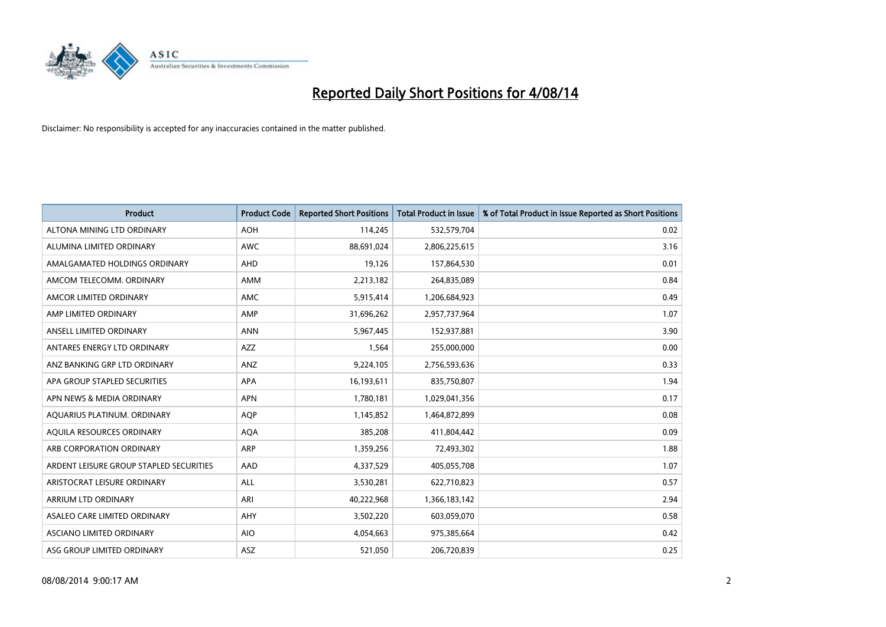

| <b>Product</b>                          | <b>Product Code</b> | <b>Reported Short Positions</b> | <b>Total Product in Issue</b> | % of Total Product in Issue Reported as Short Positions |
|-----------------------------------------|---------------------|---------------------------------|-------------------------------|---------------------------------------------------------|
| ALTONA MINING LTD ORDINARY              | <b>AOH</b>          | 114,245                         | 532,579,704                   | 0.02                                                    |
| ALUMINA LIMITED ORDINARY                | AWC                 | 88,691,024                      | 2,806,225,615                 | 3.16                                                    |
| AMALGAMATED HOLDINGS ORDINARY           | AHD                 | 19,126                          | 157,864,530                   | 0.01                                                    |
| AMCOM TELECOMM. ORDINARY                | AMM                 | 2,213,182                       | 264,835,089                   | 0.84                                                    |
| AMCOR LIMITED ORDINARY                  | AMC                 | 5,915,414                       | 1,206,684,923                 | 0.49                                                    |
| AMP LIMITED ORDINARY                    | AMP                 | 31,696,262                      | 2,957,737,964                 | 1.07                                                    |
| ANSELL LIMITED ORDINARY                 | <b>ANN</b>          | 5,967,445                       | 152,937,881                   | 3.90                                                    |
| ANTARES ENERGY LTD ORDINARY             | AZZ                 | 1,564                           | 255,000,000                   | 0.00                                                    |
| ANZ BANKING GRP LTD ORDINARY            | ANZ                 | 9,224,105                       | 2,756,593,636                 | 0.33                                                    |
| APA GROUP STAPLED SECURITIES            | <b>APA</b>          | 16,193,611                      | 835,750,807                   | 1.94                                                    |
| APN NEWS & MEDIA ORDINARY               | <b>APN</b>          | 1,780,181                       | 1,029,041,356                 | 0.17                                                    |
| AQUARIUS PLATINUM. ORDINARY             | AQP                 | 1,145,852                       | 1,464,872,899                 | 0.08                                                    |
| AQUILA RESOURCES ORDINARY               | <b>AQA</b>          | 385,208                         | 411,804,442                   | 0.09                                                    |
| ARB CORPORATION ORDINARY                | ARP                 | 1,359,256                       | 72,493,302                    | 1.88                                                    |
| ARDENT LEISURE GROUP STAPLED SECURITIES | AAD                 | 4,337,529                       | 405,055,708                   | 1.07                                                    |
| ARISTOCRAT LEISURE ORDINARY             | ALL                 | 3,530,281                       | 622,710,823                   | 0.57                                                    |
| ARRIUM LTD ORDINARY                     | ARI                 | 40,222,968                      | 1,366,183,142                 | 2.94                                                    |
| ASALEO CARE LIMITED ORDINARY            | AHY                 | 3,502,220                       | 603,059,070                   | 0.58                                                    |
| ASCIANO LIMITED ORDINARY                | <b>AIO</b>          | 4,054,663                       | 975,385,664                   | 0.42                                                    |
| ASG GROUP LIMITED ORDINARY              | ASZ                 | 521,050                         | 206,720,839                   | 0.25                                                    |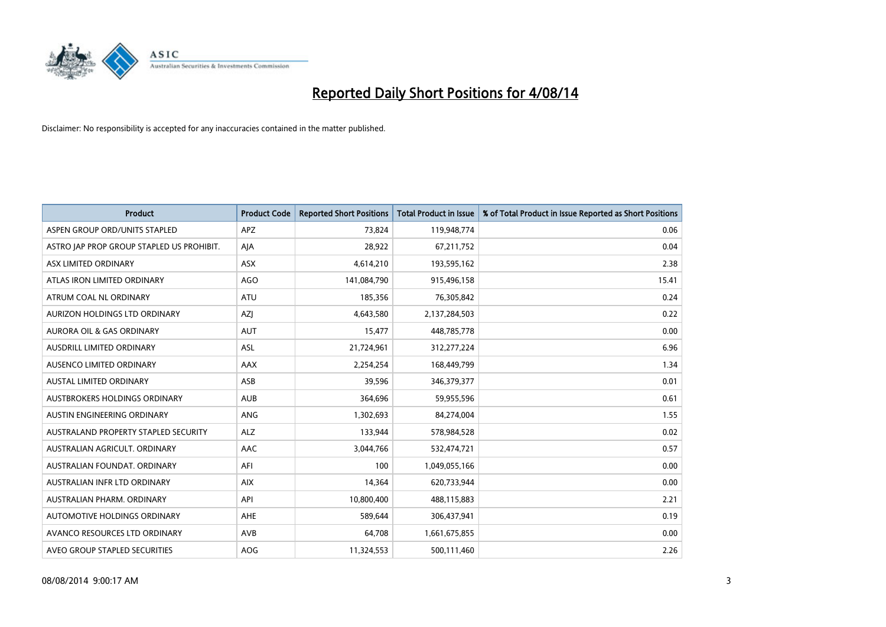

| <b>Product</b>                            | <b>Product Code</b> | <b>Reported Short Positions</b> | <b>Total Product in Issue</b> | % of Total Product in Issue Reported as Short Positions |
|-------------------------------------------|---------------------|---------------------------------|-------------------------------|---------------------------------------------------------|
| ASPEN GROUP ORD/UNITS STAPLED             | <b>APZ</b>          | 73,824                          | 119,948,774                   | 0.06                                                    |
| ASTRO JAP PROP GROUP STAPLED US PROHIBIT. | AJA                 | 28,922                          | 67,211,752                    | 0.04                                                    |
| ASX LIMITED ORDINARY                      | <b>ASX</b>          | 4,614,210                       | 193,595,162                   | 2.38                                                    |
| ATLAS IRON LIMITED ORDINARY               | AGO                 | 141,084,790                     | 915,496,158                   | 15.41                                                   |
| ATRUM COAL NL ORDINARY                    | ATU                 | 185,356                         | 76,305,842                    | 0.24                                                    |
| AURIZON HOLDINGS LTD ORDINARY             | AZJ                 | 4,643,580                       | 2,137,284,503                 | 0.22                                                    |
| <b>AURORA OIL &amp; GAS ORDINARY</b>      | <b>AUT</b>          | 15,477                          | 448,785,778                   | 0.00                                                    |
| AUSDRILL LIMITED ORDINARY                 | ASL                 | 21,724,961                      | 312,277,224                   | 6.96                                                    |
| AUSENCO LIMITED ORDINARY                  | AAX                 | 2,254,254                       | 168,449,799                   | 1.34                                                    |
| <b>AUSTAL LIMITED ORDINARY</b>            | ASB                 | 39,596                          | 346,379,377                   | 0.01                                                    |
| AUSTBROKERS HOLDINGS ORDINARY             | <b>AUB</b>          | 364,696                         | 59,955,596                    | 0.61                                                    |
| AUSTIN ENGINEERING ORDINARY               | ANG                 | 1,302,693                       | 84,274,004                    | 1.55                                                    |
| AUSTRALAND PROPERTY STAPLED SECURITY      | <b>ALZ</b>          | 133,944                         | 578,984,528                   | 0.02                                                    |
| AUSTRALIAN AGRICULT, ORDINARY             | AAC                 | 3,044,766                       | 532,474,721                   | 0.57                                                    |
| AUSTRALIAN FOUNDAT, ORDINARY              | AFI                 | 100                             | 1,049,055,166                 | 0.00                                                    |
| AUSTRALIAN INFR LTD ORDINARY              | <b>AIX</b>          | 14,364                          | 620,733,944                   | 0.00                                                    |
| AUSTRALIAN PHARM. ORDINARY                | API                 | 10,800,400                      | 488,115,883                   | 2.21                                                    |
| AUTOMOTIVE HOLDINGS ORDINARY              | AHE                 | 589,644                         | 306,437,941                   | 0.19                                                    |
| AVANCO RESOURCES LTD ORDINARY             | AVB                 | 64,708                          | 1,661,675,855                 | 0.00                                                    |
| AVEO GROUP STAPLED SECURITIES             | AOG                 | 11,324,553                      | 500,111,460                   | 2.26                                                    |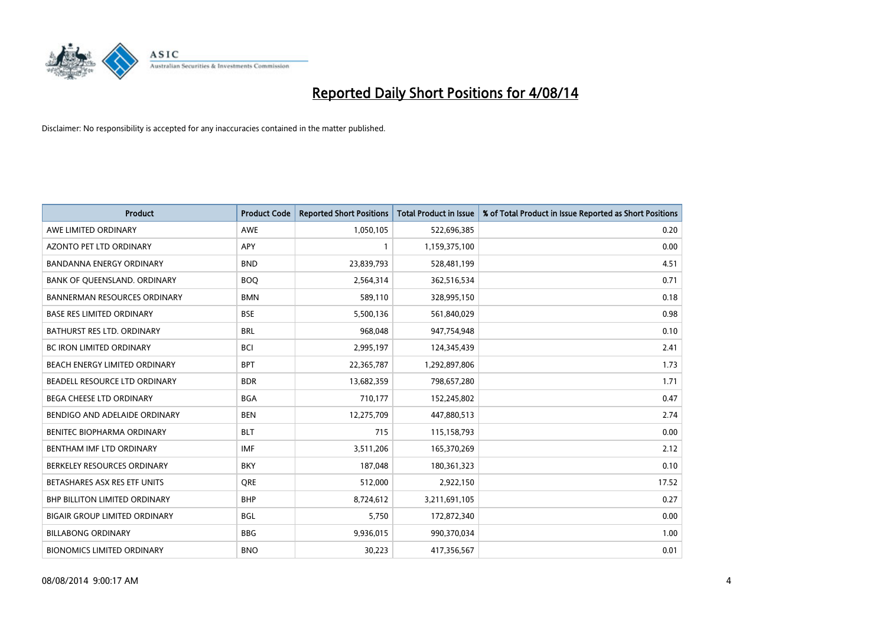

| <b>Product</b>                      | <b>Product Code</b> | <b>Reported Short Positions</b> | <b>Total Product in Issue</b> | % of Total Product in Issue Reported as Short Positions |
|-------------------------------------|---------------------|---------------------------------|-------------------------------|---------------------------------------------------------|
| AWE LIMITED ORDINARY                | AWE                 | 1,050,105                       | 522,696,385                   | 0.20                                                    |
| AZONTO PET LTD ORDINARY             | APY                 |                                 | 1,159,375,100                 | 0.00                                                    |
| <b>BANDANNA ENERGY ORDINARY</b>     | <b>BND</b>          | 23,839,793                      | 528,481,199                   | 4.51                                                    |
| BANK OF QUEENSLAND. ORDINARY        | <b>BOQ</b>          | 2,564,314                       | 362,516,534                   | 0.71                                                    |
| <b>BANNERMAN RESOURCES ORDINARY</b> | <b>BMN</b>          | 589,110                         | 328,995,150                   | 0.18                                                    |
| <b>BASE RES LIMITED ORDINARY</b>    | <b>BSE</b>          | 5,500,136                       | 561,840,029                   | 0.98                                                    |
| <b>BATHURST RES LTD. ORDINARY</b>   | <b>BRL</b>          | 968,048                         | 947,754,948                   | 0.10                                                    |
| BC IRON LIMITED ORDINARY            | <b>BCI</b>          | 2,995,197                       | 124,345,439                   | 2.41                                                    |
| BEACH ENERGY LIMITED ORDINARY       | <b>BPT</b>          | 22,365,787                      | 1,292,897,806                 | 1.73                                                    |
| BEADELL RESOURCE LTD ORDINARY       | <b>BDR</b>          | 13,682,359                      | 798,657,280                   | 1.71                                                    |
| BEGA CHEESE LTD ORDINARY            | <b>BGA</b>          | 710,177                         | 152,245,802                   | 0.47                                                    |
| BENDIGO AND ADELAIDE ORDINARY       | <b>BEN</b>          | 12,275,709                      | 447,880,513                   | 2.74                                                    |
| BENITEC BIOPHARMA ORDINARY          | <b>BLT</b>          | 715                             | 115,158,793                   | 0.00                                                    |
| BENTHAM IMF LTD ORDINARY            | <b>IMF</b>          | 3,511,206                       | 165,370,269                   | 2.12                                                    |
| BERKELEY RESOURCES ORDINARY         | <b>BKY</b>          | 187,048                         | 180,361,323                   | 0.10                                                    |
| BETASHARES ASX RES ETF UNITS        | <b>ORE</b>          | 512,000                         | 2,922,150                     | 17.52                                                   |
| BHP BILLITON LIMITED ORDINARY       | <b>BHP</b>          | 8,724,612                       | 3,211,691,105                 | 0.27                                                    |
| BIGAIR GROUP LIMITED ORDINARY       | <b>BGL</b>          | 5,750                           | 172,872,340                   | 0.00                                                    |
| <b>BILLABONG ORDINARY</b>           | <b>BBG</b>          | 9,936,015                       | 990,370,034                   | 1.00                                                    |
| <b>BIONOMICS LIMITED ORDINARY</b>   | <b>BNO</b>          | 30,223                          | 417,356,567                   | 0.01                                                    |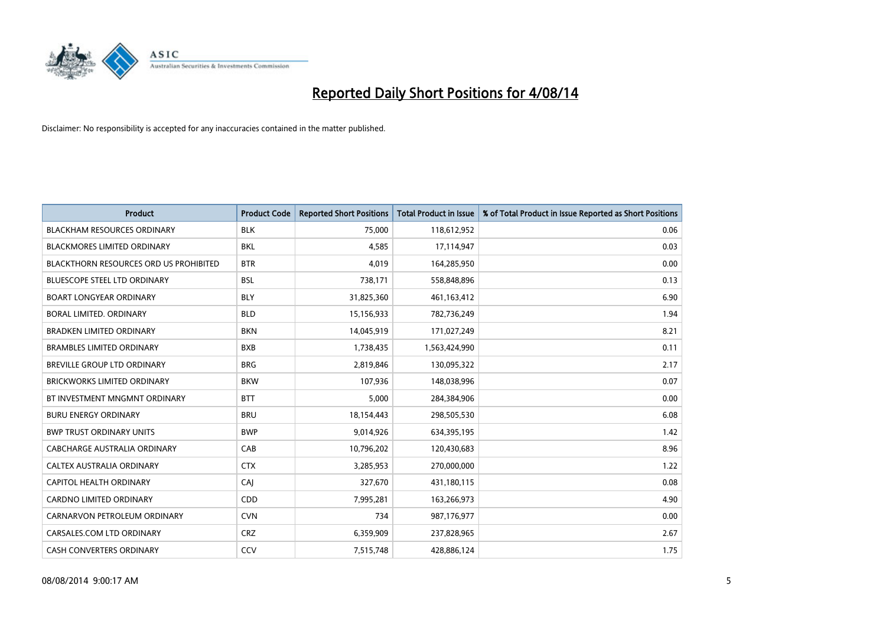

| <b>Product</b>                                | <b>Product Code</b> | <b>Reported Short Positions</b> | <b>Total Product in Issue</b> | % of Total Product in Issue Reported as Short Positions |
|-----------------------------------------------|---------------------|---------------------------------|-------------------------------|---------------------------------------------------------|
| <b>BLACKHAM RESOURCES ORDINARY</b>            | <b>BLK</b>          | 75,000                          | 118,612,952                   | 0.06                                                    |
| BLACKMORES LIMITED ORDINARY                   | BKL                 | 4,585                           | 17,114,947                    | 0.03                                                    |
| <b>BLACKTHORN RESOURCES ORD US PROHIBITED</b> | <b>BTR</b>          | 4.019                           | 164,285,950                   | 0.00                                                    |
| BLUESCOPE STEEL LTD ORDINARY                  | <b>BSL</b>          | 738,171                         | 558,848,896                   | 0.13                                                    |
| <b>BOART LONGYEAR ORDINARY</b>                | <b>BLY</b>          | 31,825,360                      | 461,163,412                   | 6.90                                                    |
| <b>BORAL LIMITED, ORDINARY</b>                | <b>BLD</b>          | 15,156,933                      | 782,736,249                   | 1.94                                                    |
| <b>BRADKEN LIMITED ORDINARY</b>               | <b>BKN</b>          | 14,045,919                      | 171,027,249                   | 8.21                                                    |
| <b>BRAMBLES LIMITED ORDINARY</b>              | <b>BXB</b>          | 1,738,435                       | 1,563,424,990                 | 0.11                                                    |
| <b>BREVILLE GROUP LTD ORDINARY</b>            | <b>BRG</b>          | 2,819,846                       | 130,095,322                   | 2.17                                                    |
| <b>BRICKWORKS LIMITED ORDINARY</b>            | <b>BKW</b>          | 107,936                         | 148,038,996                   | 0.07                                                    |
| BT INVESTMENT MNGMNT ORDINARY                 | <b>BTT</b>          | 5,000                           | 284,384,906                   | 0.00                                                    |
| <b>BURU ENERGY ORDINARY</b>                   | <b>BRU</b>          | 18,154,443                      | 298,505,530                   | 6.08                                                    |
| <b>BWP TRUST ORDINARY UNITS</b>               | <b>BWP</b>          | 9,014,926                       | 634,395,195                   | 1.42                                                    |
| <b>CABCHARGE AUSTRALIA ORDINARY</b>           | CAB                 | 10,796,202                      | 120,430,683                   | 8.96                                                    |
| CALTEX AUSTRALIA ORDINARY                     | <b>CTX</b>          | 3,285,953                       | 270,000,000                   | 1.22                                                    |
| CAPITOL HEALTH ORDINARY                       | CAI                 | 327,670                         | 431,180,115                   | 0.08                                                    |
| CARDNO LIMITED ORDINARY                       | CDD                 | 7,995,281                       | 163,266,973                   | 4.90                                                    |
| CARNARVON PETROLEUM ORDINARY                  | <b>CVN</b>          | 734                             | 987,176,977                   | 0.00                                                    |
| CARSALES.COM LTD ORDINARY                     | <b>CRZ</b>          | 6,359,909                       | 237,828,965                   | 2.67                                                    |
| CASH CONVERTERS ORDINARY                      | CCV                 | 7,515,748                       | 428,886,124                   | 1.75                                                    |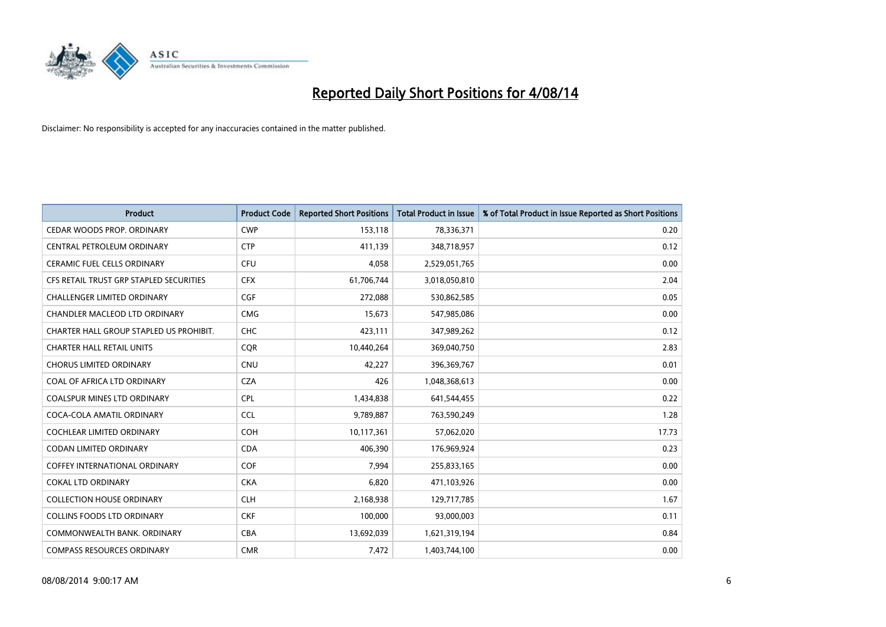

| <b>Product</b>                          | <b>Product Code</b> | <b>Reported Short Positions</b> | <b>Total Product in Issue</b> | % of Total Product in Issue Reported as Short Positions |
|-----------------------------------------|---------------------|---------------------------------|-------------------------------|---------------------------------------------------------|
| CEDAR WOODS PROP. ORDINARY              | <b>CWP</b>          | 153,118                         | 78,336,371                    | 0.20                                                    |
| CENTRAL PETROLEUM ORDINARY              | <b>CTP</b>          | 411,139                         | 348,718,957                   | 0.12                                                    |
| CERAMIC FUEL CELLS ORDINARY             | <b>CFU</b>          | 4,058                           | 2,529,051,765                 | 0.00                                                    |
| CFS RETAIL TRUST GRP STAPLED SECURITIES | <b>CFX</b>          | 61,706,744                      | 3,018,050,810                 | 2.04                                                    |
| <b>CHALLENGER LIMITED ORDINARY</b>      | <b>CGF</b>          | 272,088                         | 530,862,585                   | 0.05                                                    |
| CHANDLER MACLEOD LTD ORDINARY           | <b>CMG</b>          | 15,673                          | 547,985,086                   | 0.00                                                    |
| CHARTER HALL GROUP STAPLED US PROHIBIT. | <b>CHC</b>          | 423,111                         | 347,989,262                   | 0.12                                                    |
| <b>CHARTER HALL RETAIL UNITS</b>        | <b>CQR</b>          | 10,440,264                      | 369,040,750                   | 2.83                                                    |
| <b>CHORUS LIMITED ORDINARY</b>          | <b>CNU</b>          | 42,227                          | 396,369,767                   | 0.01                                                    |
| COAL OF AFRICA LTD ORDINARY             | <b>CZA</b>          | 426                             | 1,048,368,613                 | 0.00                                                    |
| COALSPUR MINES LTD ORDINARY             | <b>CPL</b>          | 1,434,838                       | 641,544,455                   | 0.22                                                    |
| COCA-COLA AMATIL ORDINARY               | <b>CCL</b>          | 9,789,887                       | 763,590,249                   | 1.28                                                    |
| <b>COCHLEAR LIMITED ORDINARY</b>        | <b>COH</b>          | 10,117,361                      | 57,062,020                    | 17.73                                                   |
| <b>CODAN LIMITED ORDINARY</b>           | <b>CDA</b>          | 406,390                         | 176,969,924                   | 0.23                                                    |
| <b>COFFEY INTERNATIONAL ORDINARY</b>    | <b>COF</b>          | 7,994                           | 255,833,165                   | 0.00                                                    |
| <b>COKAL LTD ORDINARY</b>               | <b>CKA</b>          | 6,820                           | 471,103,926                   | 0.00                                                    |
| <b>COLLECTION HOUSE ORDINARY</b>        | <b>CLH</b>          | 2,168,938                       | 129,717,785                   | 1.67                                                    |
| <b>COLLINS FOODS LTD ORDINARY</b>       | <b>CKF</b>          | 100,000                         | 93,000,003                    | 0.11                                                    |
| COMMONWEALTH BANK, ORDINARY             | <b>CBA</b>          | 13,692,039                      | 1,621,319,194                 | 0.84                                                    |
| <b>COMPASS RESOURCES ORDINARY</b>       | <b>CMR</b>          | 7,472                           | 1,403,744,100                 | 0.00                                                    |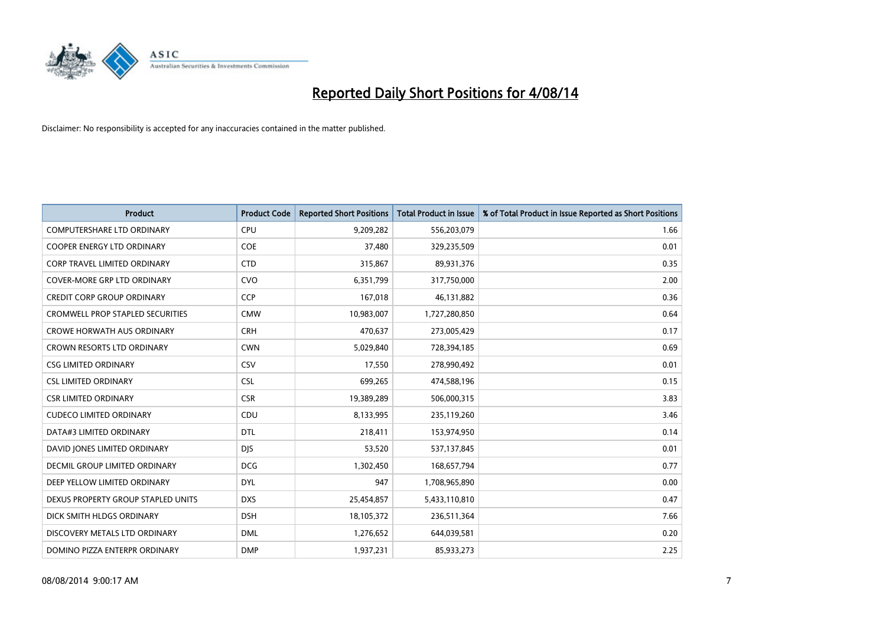

| <b>Product</b>                          | <b>Product Code</b> | <b>Reported Short Positions</b> | <b>Total Product in Issue</b> | % of Total Product in Issue Reported as Short Positions |
|-----------------------------------------|---------------------|---------------------------------|-------------------------------|---------------------------------------------------------|
| <b>COMPUTERSHARE LTD ORDINARY</b>       | <b>CPU</b>          | 9,209,282                       | 556,203,079                   | 1.66                                                    |
| COOPER ENERGY LTD ORDINARY              | <b>COE</b>          | 37,480                          | 329,235,509                   | 0.01                                                    |
| <b>CORP TRAVEL LIMITED ORDINARY</b>     | <b>CTD</b>          | 315,867                         | 89,931,376                    | 0.35                                                    |
| <b>COVER-MORE GRP LTD ORDINARY</b>      | <b>CVO</b>          | 6,351,799                       | 317,750,000                   | 2.00                                                    |
| <b>CREDIT CORP GROUP ORDINARY</b>       | <b>CCP</b>          | 167,018                         | 46,131,882                    | 0.36                                                    |
| <b>CROMWELL PROP STAPLED SECURITIES</b> | <b>CMW</b>          | 10,983,007                      | 1,727,280,850                 | 0.64                                                    |
| <b>CROWE HORWATH AUS ORDINARY</b>       | <b>CRH</b>          | 470,637                         | 273,005,429                   | 0.17                                                    |
| CROWN RESORTS LTD ORDINARY              | <b>CWN</b>          | 5,029,840                       | 728,394,185                   | 0.69                                                    |
| <b>CSG LIMITED ORDINARY</b>             | CSV                 | 17,550                          | 278,990,492                   | 0.01                                                    |
| <b>CSL LIMITED ORDINARY</b>             | <b>CSL</b>          | 699,265                         | 474,588,196                   | 0.15                                                    |
| <b>CSR LIMITED ORDINARY</b>             | <b>CSR</b>          | 19,389,289                      | 506,000,315                   | 3.83                                                    |
| <b>CUDECO LIMITED ORDINARY</b>          | CDU                 | 8,133,995                       | 235,119,260                   | 3.46                                                    |
| DATA#3 LIMITED ORDINARY                 | <b>DTL</b>          | 218,411                         | 153,974,950                   | 0.14                                                    |
| DAVID JONES LIMITED ORDINARY            | <b>DJS</b>          | 53,520                          | 537,137,845                   | 0.01                                                    |
| <b>DECMIL GROUP LIMITED ORDINARY</b>    | <b>DCG</b>          | 1,302,450                       | 168,657,794                   | 0.77                                                    |
| DEEP YELLOW LIMITED ORDINARY            | DYL                 | 947                             | 1,708,965,890                 | 0.00                                                    |
| DEXUS PROPERTY GROUP STAPLED UNITS      | <b>DXS</b>          | 25,454,857                      | 5,433,110,810                 | 0.47                                                    |
| DICK SMITH HLDGS ORDINARY               | <b>DSH</b>          | 18,105,372                      | 236,511,364                   | 7.66                                                    |
| DISCOVERY METALS LTD ORDINARY           | <b>DML</b>          | 1,276,652                       | 644,039,581                   | 0.20                                                    |
| DOMINO PIZZA ENTERPR ORDINARY           | <b>DMP</b>          | 1,937,231                       | 85,933,273                    | 2.25                                                    |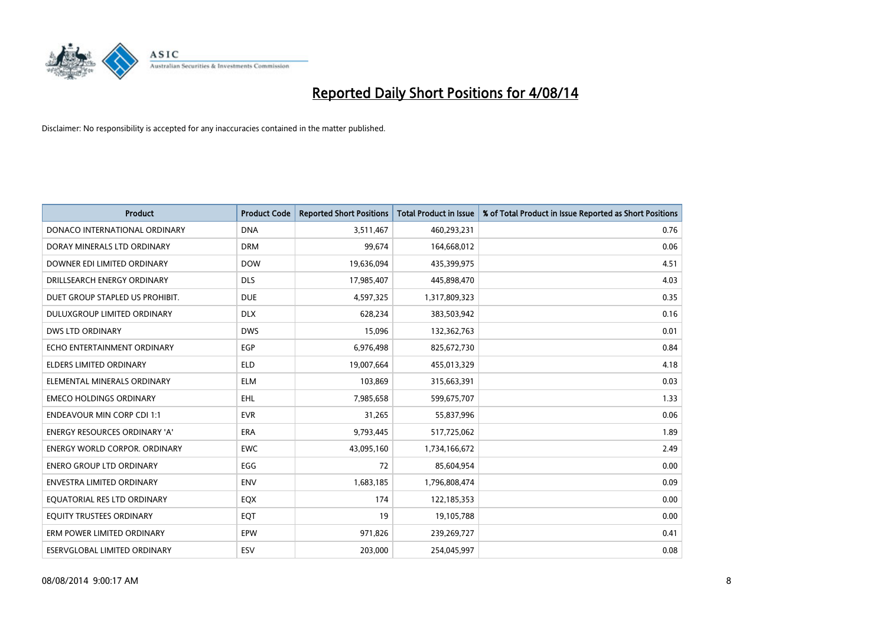

| <b>Product</b>                       | <b>Product Code</b> | <b>Reported Short Positions</b> | <b>Total Product in Issue</b> | % of Total Product in Issue Reported as Short Positions |
|--------------------------------------|---------------------|---------------------------------|-------------------------------|---------------------------------------------------------|
| DONACO INTERNATIONAL ORDINARY        | <b>DNA</b>          | 3,511,467                       | 460,293,231                   | 0.76                                                    |
| DORAY MINERALS LTD ORDINARY          | <b>DRM</b>          | 99,674                          | 164,668,012                   | 0.06                                                    |
| DOWNER EDI LIMITED ORDINARY          | <b>DOW</b>          | 19,636,094                      | 435,399,975                   | 4.51                                                    |
| DRILLSEARCH ENERGY ORDINARY          | <b>DLS</b>          | 17,985,407                      | 445,898,470                   | 4.03                                                    |
| DUET GROUP STAPLED US PROHIBIT.      | <b>DUE</b>          | 4,597,325                       | 1,317,809,323                 | 0.35                                                    |
| DULUXGROUP LIMITED ORDINARY          | <b>DLX</b>          | 628,234                         | 383,503,942                   | 0.16                                                    |
| <b>DWS LTD ORDINARY</b>              | <b>DWS</b>          | 15,096                          | 132,362,763                   | 0.01                                                    |
| ECHO ENTERTAINMENT ORDINARY          | <b>EGP</b>          | 6,976,498                       | 825,672,730                   | 0.84                                                    |
| <b>ELDERS LIMITED ORDINARY</b>       | <b>ELD</b>          | 19,007,664                      | 455,013,329                   | 4.18                                                    |
| ELEMENTAL MINERALS ORDINARY          | <b>ELM</b>          | 103,869                         | 315,663,391                   | 0.03                                                    |
| <b>EMECO HOLDINGS ORDINARY</b>       | <b>EHL</b>          | 7,985,658                       | 599,675,707                   | 1.33                                                    |
| <b>ENDEAVOUR MIN CORP CDI 1:1</b>    | <b>EVR</b>          | 31,265                          | 55,837,996                    | 0.06                                                    |
| ENERGY RESOURCES ORDINARY 'A'        | <b>ERA</b>          | 9,793,445                       | 517,725,062                   | 1.89                                                    |
| <b>ENERGY WORLD CORPOR, ORDINARY</b> | <b>EWC</b>          | 43,095,160                      | 1,734,166,672                 | 2.49                                                    |
| <b>ENERO GROUP LTD ORDINARY</b>      | EGG                 | 72                              | 85,604,954                    | 0.00                                                    |
| <b>ENVESTRA LIMITED ORDINARY</b>     | <b>ENV</b>          | 1,683,185                       | 1,796,808,474                 | 0.09                                                    |
| EQUATORIAL RES LTD ORDINARY          | EQX                 | 174                             | 122,185,353                   | 0.00                                                    |
| EQUITY TRUSTEES ORDINARY             | EQT                 | 19                              | 19,105,788                    | 0.00                                                    |
| ERM POWER LIMITED ORDINARY           | EPW                 | 971,826                         | 239,269,727                   | 0.41                                                    |
| ESERVGLOBAL LIMITED ORDINARY         | ESV                 | 203,000                         | 254,045,997                   | 0.08                                                    |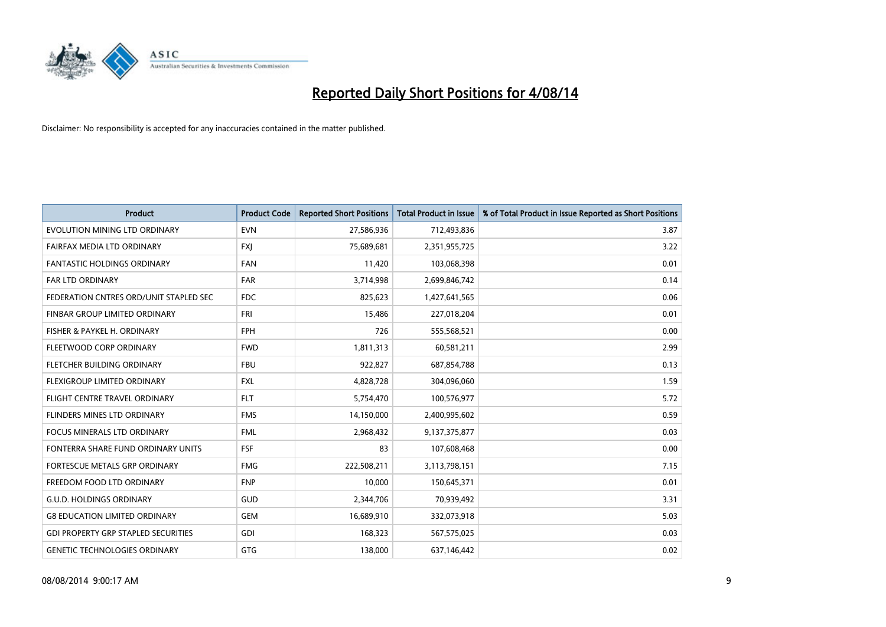

| <b>Product</b>                             | <b>Product Code</b> | <b>Reported Short Positions</b> | <b>Total Product in Issue</b> | % of Total Product in Issue Reported as Short Positions |
|--------------------------------------------|---------------------|---------------------------------|-------------------------------|---------------------------------------------------------|
| EVOLUTION MINING LTD ORDINARY              | <b>EVN</b>          | 27,586,936                      | 712,493,836                   | 3.87                                                    |
| FAIRFAX MEDIA LTD ORDINARY                 | <b>FXI</b>          | 75,689,681                      | 2,351,955,725                 | 3.22                                                    |
| <b>FANTASTIC HOLDINGS ORDINARY</b>         | <b>FAN</b>          | 11,420                          | 103,068,398                   | 0.01                                                    |
| <b>FAR LTD ORDINARY</b>                    | <b>FAR</b>          | 3,714,998                       | 2,699,846,742                 | 0.14                                                    |
| FEDERATION CNTRES ORD/UNIT STAPLED SEC     | <b>FDC</b>          | 825,623                         | 1,427,641,565                 | 0.06                                                    |
| FINBAR GROUP LIMITED ORDINARY              | <b>FRI</b>          | 15,486                          | 227,018,204                   | 0.01                                                    |
| FISHER & PAYKEL H. ORDINARY                | <b>FPH</b>          | 726                             | 555,568,521                   | 0.00                                                    |
| FLEETWOOD CORP ORDINARY                    | <b>FWD</b>          | 1,811,313                       | 60,581,211                    | 2.99                                                    |
| FLETCHER BUILDING ORDINARY                 | <b>FBU</b>          | 922,827                         | 687,854,788                   | 0.13                                                    |
| FLEXIGROUP LIMITED ORDINARY                | <b>FXL</b>          | 4,828,728                       | 304,096,060                   | 1.59                                                    |
| FLIGHT CENTRE TRAVEL ORDINARY              | <b>FLT</b>          | 5,754,470                       | 100,576,977                   | 5.72                                                    |
| FLINDERS MINES LTD ORDINARY                | <b>FMS</b>          | 14,150,000                      | 2,400,995,602                 | 0.59                                                    |
| <b>FOCUS MINERALS LTD ORDINARY</b>         | <b>FML</b>          | 2,968,432                       | 9,137,375,877                 | 0.03                                                    |
| FONTERRA SHARE FUND ORDINARY UNITS         | <b>FSF</b>          | 83                              | 107,608,468                   | 0.00                                                    |
| FORTESCUE METALS GRP ORDINARY              | <b>FMG</b>          | 222,508,211                     | 3,113,798,151                 | 7.15                                                    |
| FREEDOM FOOD LTD ORDINARY                  | <b>FNP</b>          | 10,000                          | 150,645,371                   | 0.01                                                    |
| <b>G.U.D. HOLDINGS ORDINARY</b>            | GUD                 | 2,344,706                       | 70,939,492                    | 3.31                                                    |
| <b>G8 EDUCATION LIMITED ORDINARY</b>       | <b>GEM</b>          | 16,689,910                      | 332,073,918                   | 5.03                                                    |
| <b>GDI PROPERTY GRP STAPLED SECURITIES</b> | GDI                 | 168,323                         | 567,575,025                   | 0.03                                                    |
| <b>GENETIC TECHNOLOGIES ORDINARY</b>       | GTG                 | 138,000                         | 637,146,442                   | 0.02                                                    |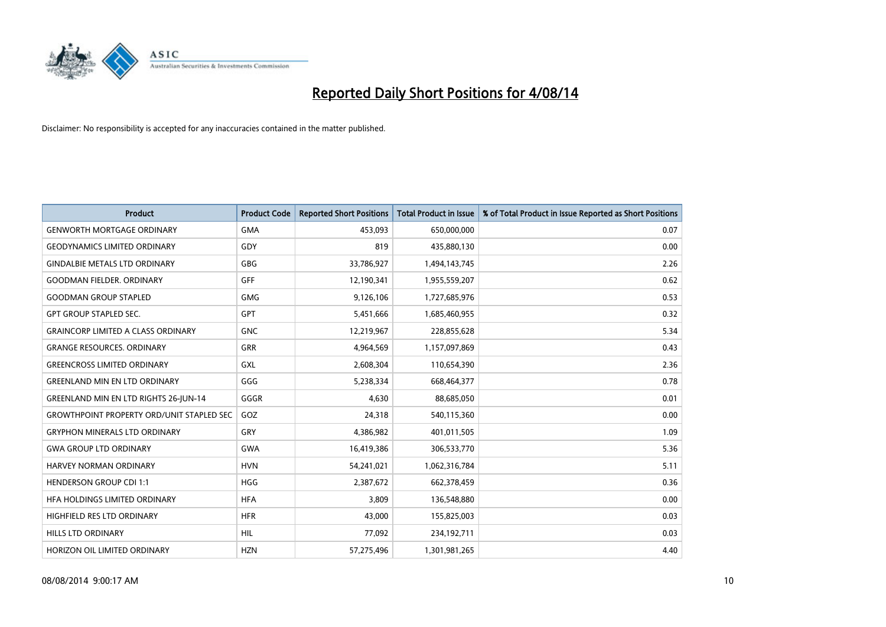

| <b>Product</b>                                   | <b>Product Code</b> | <b>Reported Short Positions</b> | <b>Total Product in Issue</b> | % of Total Product in Issue Reported as Short Positions |
|--------------------------------------------------|---------------------|---------------------------------|-------------------------------|---------------------------------------------------------|
| <b>GENWORTH MORTGAGE ORDINARY</b>                | <b>GMA</b>          | 453,093                         | 650,000,000                   | 0.07                                                    |
| <b>GEODYNAMICS LIMITED ORDINARY</b>              | GDY                 | 819                             | 435,880,130                   | 0.00                                                    |
| <b>GINDALBIE METALS LTD ORDINARY</b>             | GBG                 | 33,786,927                      | 1,494,143,745                 | 2.26                                                    |
| <b>GOODMAN FIELDER, ORDINARY</b>                 | <b>GFF</b>          | 12,190,341                      | 1,955,559,207                 | 0.62                                                    |
| <b>GOODMAN GROUP STAPLED</b>                     | <b>GMG</b>          | 9,126,106                       | 1,727,685,976                 | 0.53                                                    |
| <b>GPT GROUP STAPLED SEC.</b>                    | GPT                 | 5,451,666                       | 1,685,460,955                 | 0.32                                                    |
| <b>GRAINCORP LIMITED A CLASS ORDINARY</b>        | <b>GNC</b>          | 12,219,967                      | 228,855,628                   | 5.34                                                    |
| <b>GRANGE RESOURCES. ORDINARY</b>                | GRR                 | 4,964,569                       | 1,157,097,869                 | 0.43                                                    |
| <b>GREENCROSS LIMITED ORDINARY</b>               | <b>GXL</b>          | 2,608,304                       | 110,654,390                   | 2.36                                                    |
| <b>GREENLAND MIN EN LTD ORDINARY</b>             | GGG                 | 5,238,334                       | 668,464,377                   | 0.78                                                    |
| <b>GREENLAND MIN EN LTD RIGHTS 26-JUN-14</b>     | GGGR                | 4,630                           | 88,685,050                    | 0.01                                                    |
| <b>GROWTHPOINT PROPERTY ORD/UNIT STAPLED SEC</b> | GOZ                 | 24,318                          | 540,115,360                   | 0.00                                                    |
| <b>GRYPHON MINERALS LTD ORDINARY</b>             | GRY                 | 4,386,982                       | 401,011,505                   | 1.09                                                    |
| <b>GWA GROUP LTD ORDINARY</b>                    | <b>GWA</b>          | 16,419,386                      | 306,533,770                   | 5.36                                                    |
| <b>HARVEY NORMAN ORDINARY</b>                    | <b>HVN</b>          | 54,241,021                      | 1,062,316,784                 | 5.11                                                    |
| <b>HENDERSON GROUP CDI 1:1</b>                   | <b>HGG</b>          | 2,387,672                       | 662,378,459                   | 0.36                                                    |
| HFA HOLDINGS LIMITED ORDINARY                    | <b>HFA</b>          | 3,809                           | 136,548,880                   | 0.00                                                    |
| HIGHFIELD RES LTD ORDINARY                       | <b>HFR</b>          | 43,000                          | 155,825,003                   | 0.03                                                    |
| <b>HILLS LTD ORDINARY</b>                        | <b>HIL</b>          | 77,092                          | 234,192,711                   | 0.03                                                    |
| HORIZON OIL LIMITED ORDINARY                     | <b>HZN</b>          | 57,275,496                      | 1,301,981,265                 | 4.40                                                    |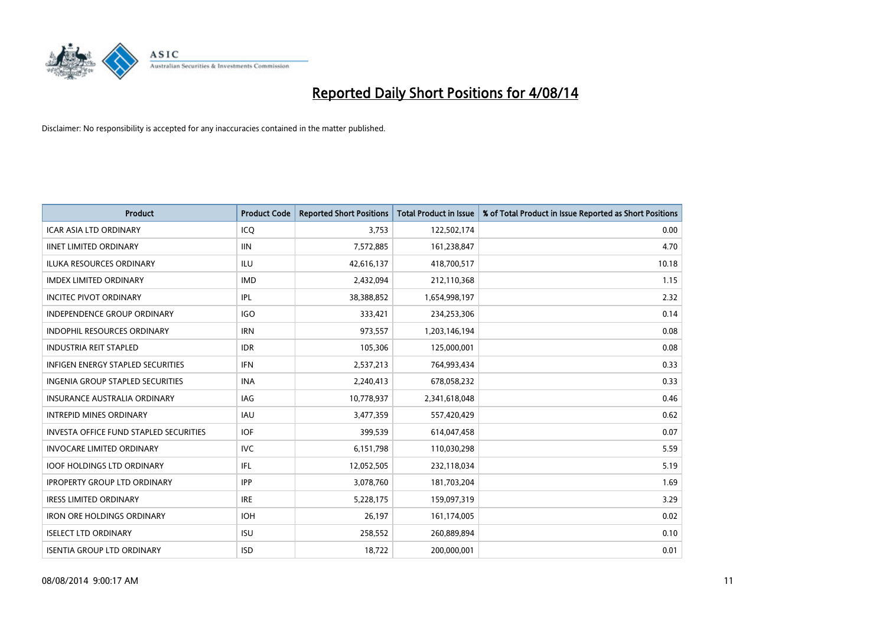

| <b>Product</b>                         | <b>Product Code</b> | <b>Reported Short Positions</b> | <b>Total Product in Issue</b> | % of Total Product in Issue Reported as Short Positions |
|----------------------------------------|---------------------|---------------------------------|-------------------------------|---------------------------------------------------------|
| <b>ICAR ASIA LTD ORDINARY</b>          | ICQ                 | 3,753                           | 122,502,174                   | 0.00                                                    |
| <b>IINET LIMITED ORDINARY</b>          | <b>IIN</b>          | 7,572,885                       | 161,238,847                   | 4.70                                                    |
| <b>ILUKA RESOURCES ORDINARY</b>        | ILU                 | 42,616,137                      | 418,700,517                   | 10.18                                                   |
| <b>IMDEX LIMITED ORDINARY</b>          | <b>IMD</b>          | 2,432,094                       | 212,110,368                   | 1.15                                                    |
| <b>INCITEC PIVOT ORDINARY</b>          | IPL                 | 38,388,852                      | 1,654,998,197                 | 2.32                                                    |
| <b>INDEPENDENCE GROUP ORDINARY</b>     | <b>IGO</b>          | 333,421                         | 234,253,306                   | 0.14                                                    |
| <b>INDOPHIL RESOURCES ORDINARY</b>     | <b>IRN</b>          | 973,557                         | 1,203,146,194                 | 0.08                                                    |
| <b>INDUSTRIA REIT STAPLED</b>          | <b>IDR</b>          | 105,306                         | 125,000,001                   | 0.08                                                    |
| INFIGEN ENERGY STAPLED SECURITIES      | <b>IFN</b>          | 2,537,213                       | 764,993,434                   | 0.33                                                    |
| INGENIA GROUP STAPLED SECURITIES       | <b>INA</b>          | 2,240,413                       | 678,058,232                   | 0.33                                                    |
| <b>INSURANCE AUSTRALIA ORDINARY</b>    | IAG                 | 10,778,937                      | 2,341,618,048                 | 0.46                                                    |
| <b>INTREPID MINES ORDINARY</b>         | IAU                 | 3,477,359                       | 557,420,429                   | 0.62                                                    |
| INVESTA OFFICE FUND STAPLED SECURITIES | <b>IOF</b>          | 399,539                         | 614,047,458                   | 0.07                                                    |
| <b>INVOCARE LIMITED ORDINARY</b>       | <b>IVC</b>          | 6,151,798                       | 110,030,298                   | 5.59                                                    |
| <b>IOOF HOLDINGS LTD ORDINARY</b>      | IFL                 | 12,052,505                      | 232,118,034                   | 5.19                                                    |
| <b>IPROPERTY GROUP LTD ORDINARY</b>    | <b>IPP</b>          | 3,078,760                       | 181,703,204                   | 1.69                                                    |
| <b>IRESS LIMITED ORDINARY</b>          | <b>IRE</b>          | 5,228,175                       | 159,097,319                   | 3.29                                                    |
| <b>IRON ORE HOLDINGS ORDINARY</b>      | <b>IOH</b>          | 26,197                          | 161,174,005                   | 0.02                                                    |
| <b>ISELECT LTD ORDINARY</b>            | <b>ISU</b>          | 258,552                         | 260,889,894                   | 0.10                                                    |
| <b>ISENTIA GROUP LTD ORDINARY</b>      | <b>ISD</b>          | 18,722                          | 200,000,001                   | 0.01                                                    |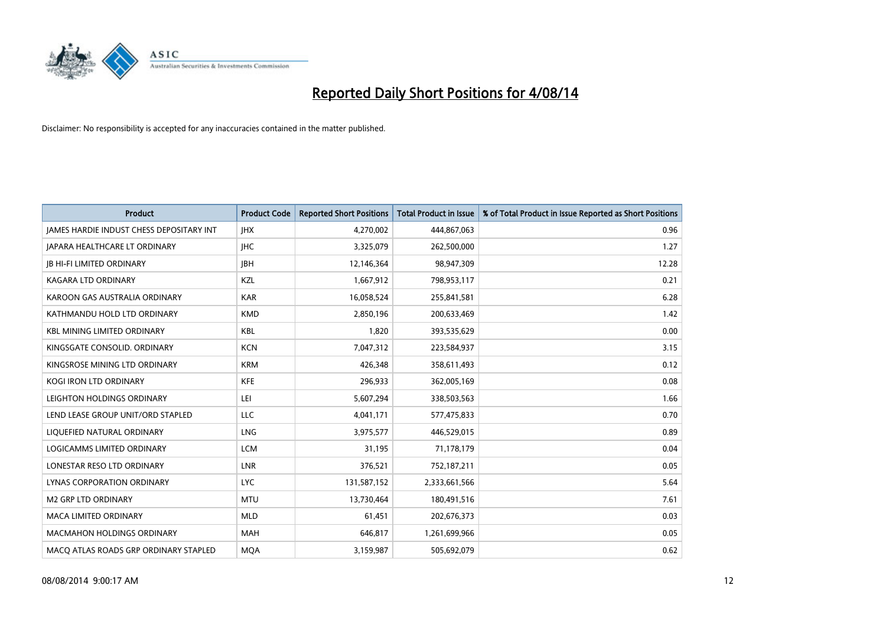

| Product                                         | <b>Product Code</b> | <b>Reported Short Positions</b> | <b>Total Product in Issue</b> | % of Total Product in Issue Reported as Short Positions |
|-------------------------------------------------|---------------------|---------------------------------|-------------------------------|---------------------------------------------------------|
| <b>JAMES HARDIE INDUST CHESS DEPOSITARY INT</b> | <b>IHX</b>          | 4,270,002                       | 444,867,063                   | 0.96                                                    |
| JAPARA HEALTHCARE LT ORDINARY                   | <b>IHC</b>          | 3,325,079                       | 262,500,000                   | 1.27                                                    |
| <b>IB HI-FI LIMITED ORDINARY</b>                | <b>JBH</b>          | 12,146,364                      | 98,947,309                    | 12.28                                                   |
| KAGARA LTD ORDINARY                             | KZL                 | 1,667,912                       | 798,953,117                   | 0.21                                                    |
| KAROON GAS AUSTRALIA ORDINARY                   | <b>KAR</b>          | 16,058,524                      | 255,841,581                   | 6.28                                                    |
| KATHMANDU HOLD LTD ORDINARY                     | <b>KMD</b>          | 2,850,196                       | 200,633,469                   | 1.42                                                    |
| <b>KBL MINING LIMITED ORDINARY</b>              | <b>KBL</b>          | 1,820                           | 393,535,629                   | 0.00                                                    |
| KINGSGATE CONSOLID, ORDINARY                    | <b>KCN</b>          | 7,047,312                       | 223,584,937                   | 3.15                                                    |
| KINGSROSE MINING LTD ORDINARY                   | <b>KRM</b>          | 426,348                         | 358,611,493                   | 0.12                                                    |
| <b>KOGI IRON LTD ORDINARY</b>                   | <b>KFE</b>          | 296,933                         | 362,005,169                   | 0.08                                                    |
| LEIGHTON HOLDINGS ORDINARY                      | LEI                 | 5,607,294                       | 338,503,563                   | 1.66                                                    |
| LEND LEASE GROUP UNIT/ORD STAPLED               | <b>LLC</b>          | 4,041,171                       | 577,475,833                   | 0.70                                                    |
| LIQUEFIED NATURAL ORDINARY                      | <b>LNG</b>          | 3,975,577                       | 446,529,015                   | 0.89                                                    |
| LOGICAMMS LIMITED ORDINARY                      | <b>LCM</b>          | 31.195                          | 71,178,179                    | 0.04                                                    |
| LONESTAR RESO LTD ORDINARY                      | LNR                 | 376,521                         | 752,187,211                   | 0.05                                                    |
| <b>LYNAS CORPORATION ORDINARY</b>               | <b>LYC</b>          | 131,587,152                     | 2,333,661,566                 | 5.64                                                    |
| <b>M2 GRP LTD ORDINARY</b>                      | <b>MTU</b>          | 13,730,464                      | 180,491,516                   | 7.61                                                    |
| <b>MACA LIMITED ORDINARY</b>                    | <b>MLD</b>          | 61,451                          | 202,676,373                   | 0.03                                                    |
| <b>MACMAHON HOLDINGS ORDINARY</b>               | <b>MAH</b>          | 646,817                         | 1,261,699,966                 | 0.05                                                    |
| MACO ATLAS ROADS GRP ORDINARY STAPLED           | <b>MOA</b>          | 3,159,987                       | 505,692,079                   | 0.62                                                    |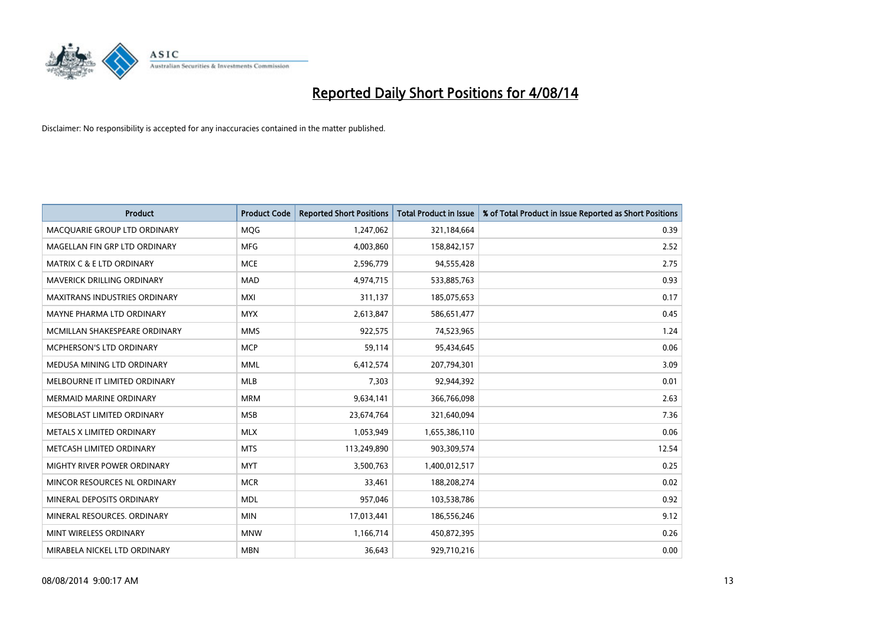

| <b>Product</b>                       | <b>Product Code</b> | <b>Reported Short Positions</b> | <b>Total Product in Issue</b> | % of Total Product in Issue Reported as Short Positions |
|--------------------------------------|---------------------|---------------------------------|-------------------------------|---------------------------------------------------------|
| MACQUARIE GROUP LTD ORDINARY         | MQG                 | 1,247,062                       | 321,184,664                   | 0.39                                                    |
| MAGELLAN FIN GRP LTD ORDINARY        | MFG                 | 4,003,860                       | 158,842,157                   | 2.52                                                    |
| <b>MATRIX C &amp; E LTD ORDINARY</b> | <b>MCE</b>          | 2,596,779                       | 94,555,428                    | 2.75                                                    |
| MAVERICK DRILLING ORDINARY           | <b>MAD</b>          | 4,974,715                       | 533,885,763                   | 0.93                                                    |
| <b>MAXITRANS INDUSTRIES ORDINARY</b> | <b>MXI</b>          | 311,137                         | 185,075,653                   | 0.17                                                    |
| MAYNE PHARMA LTD ORDINARY            | <b>MYX</b>          | 2,613,847                       | 586,651,477                   | 0.45                                                    |
| MCMILLAN SHAKESPEARE ORDINARY        | <b>MMS</b>          | 922,575                         | 74,523,965                    | 1.24                                                    |
| MCPHERSON'S LTD ORDINARY             | <b>MCP</b>          | 59,114                          | 95,434,645                    | 0.06                                                    |
| MEDUSA MINING LTD ORDINARY           | <b>MML</b>          | 6,412,574                       | 207,794,301                   | 3.09                                                    |
| MELBOURNE IT LIMITED ORDINARY        | <b>MLB</b>          | 7,303                           | 92,944,392                    | 0.01                                                    |
| MERMAID MARINE ORDINARY              | <b>MRM</b>          | 9,634,141                       | 366,766,098                   | 2.63                                                    |
| MESOBLAST LIMITED ORDINARY           | <b>MSB</b>          | 23,674,764                      | 321,640,094                   | 7.36                                                    |
| METALS X LIMITED ORDINARY            | <b>MLX</b>          | 1,053,949                       | 1,655,386,110                 | 0.06                                                    |
| METCASH LIMITED ORDINARY             | <b>MTS</b>          | 113,249,890                     | 903,309,574                   | 12.54                                                   |
| MIGHTY RIVER POWER ORDINARY          | <b>MYT</b>          | 3,500,763                       | 1,400,012,517                 | 0.25                                                    |
| MINCOR RESOURCES NL ORDINARY         | <b>MCR</b>          | 33,461                          | 188,208,274                   | 0.02                                                    |
| MINERAL DEPOSITS ORDINARY            | <b>MDL</b>          | 957,046                         | 103,538,786                   | 0.92                                                    |
| MINERAL RESOURCES. ORDINARY          | <b>MIN</b>          | 17,013,441                      | 186,556,246                   | 9.12                                                    |
| MINT WIRELESS ORDINARY               | <b>MNW</b>          | 1,166,714                       | 450,872,395                   | 0.26                                                    |
| MIRABELA NICKEL LTD ORDINARY         | <b>MBN</b>          | 36,643                          | 929,710,216                   | 0.00                                                    |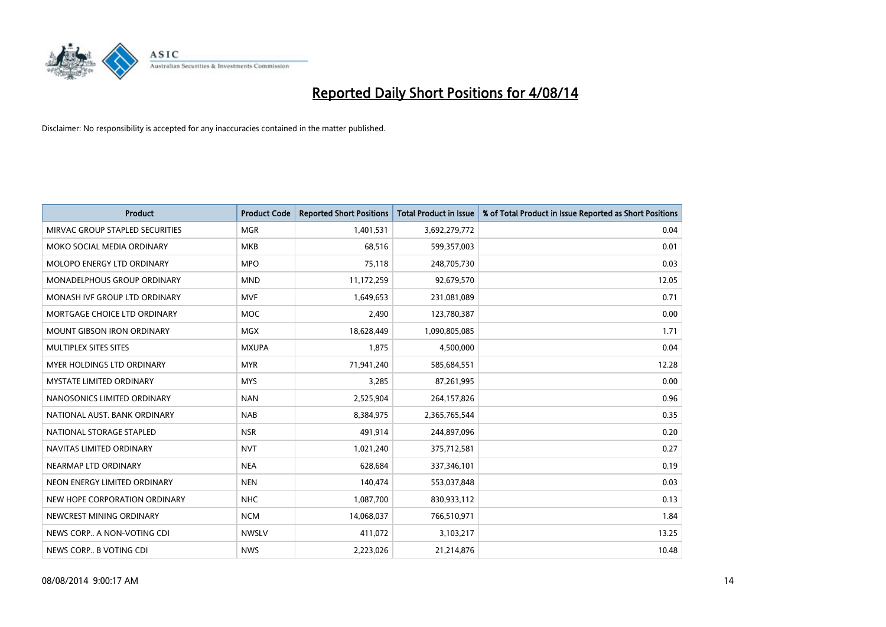

| <b>Product</b>                    | <b>Product Code</b> | <b>Reported Short Positions</b> | <b>Total Product in Issue</b> | % of Total Product in Issue Reported as Short Positions |
|-----------------------------------|---------------------|---------------------------------|-------------------------------|---------------------------------------------------------|
| MIRVAC GROUP STAPLED SECURITIES   | <b>MGR</b>          | 1,401,531                       | 3,692,279,772                 | 0.04                                                    |
| MOKO SOCIAL MEDIA ORDINARY        | MKB                 | 68,516                          | 599,357,003                   | 0.01                                                    |
| <b>MOLOPO ENERGY LTD ORDINARY</b> | <b>MPO</b>          | 75,118                          | 248,705,730                   | 0.03                                                    |
| MONADELPHOUS GROUP ORDINARY       | <b>MND</b>          | 11,172,259                      | 92,679,570                    | 12.05                                                   |
| MONASH IVE GROUP LTD ORDINARY     | <b>MVF</b>          | 1,649,653                       | 231,081,089                   | 0.71                                                    |
| MORTGAGE CHOICE LTD ORDINARY      | <b>MOC</b>          | 2,490                           | 123,780,387                   | 0.00                                                    |
| <b>MOUNT GIBSON IRON ORDINARY</b> | <b>MGX</b>          | 18,628,449                      | 1,090,805,085                 | 1.71                                                    |
| MULTIPLEX SITES SITES             | <b>MXUPA</b>        | 1,875                           | 4,500,000                     | 0.04                                                    |
| MYER HOLDINGS LTD ORDINARY        | <b>MYR</b>          | 71,941,240                      | 585,684,551                   | 12.28                                                   |
| <b>MYSTATE LIMITED ORDINARY</b>   | <b>MYS</b>          | 3,285                           | 87,261,995                    | 0.00                                                    |
| NANOSONICS LIMITED ORDINARY       | <b>NAN</b>          | 2,525,904                       | 264,157,826                   | 0.96                                                    |
| NATIONAL AUST, BANK ORDINARY      | <b>NAB</b>          | 8,384,975                       | 2,365,765,544                 | 0.35                                                    |
| NATIONAL STORAGE STAPLED          | <b>NSR</b>          | 491,914                         | 244,897,096                   | 0.20                                                    |
| NAVITAS LIMITED ORDINARY          | <b>NVT</b>          | 1,021,240                       | 375,712,581                   | 0.27                                                    |
| NEARMAP LTD ORDINARY              | <b>NEA</b>          | 628,684                         | 337,346,101                   | 0.19                                                    |
| NEON ENERGY LIMITED ORDINARY      | <b>NEN</b>          | 140,474                         | 553,037,848                   | 0.03                                                    |
| NEW HOPE CORPORATION ORDINARY     | <b>NHC</b>          | 1,087,700                       | 830,933,112                   | 0.13                                                    |
| NEWCREST MINING ORDINARY          | <b>NCM</b>          | 14,068,037                      | 766,510,971                   | 1.84                                                    |
| NEWS CORP A NON-VOTING CDI        | <b>NWSLV</b>        | 411,072                         | 3,103,217                     | 13.25                                                   |
| NEWS CORP B VOTING CDI            | <b>NWS</b>          | 2,223,026                       | 21,214,876                    | 10.48                                                   |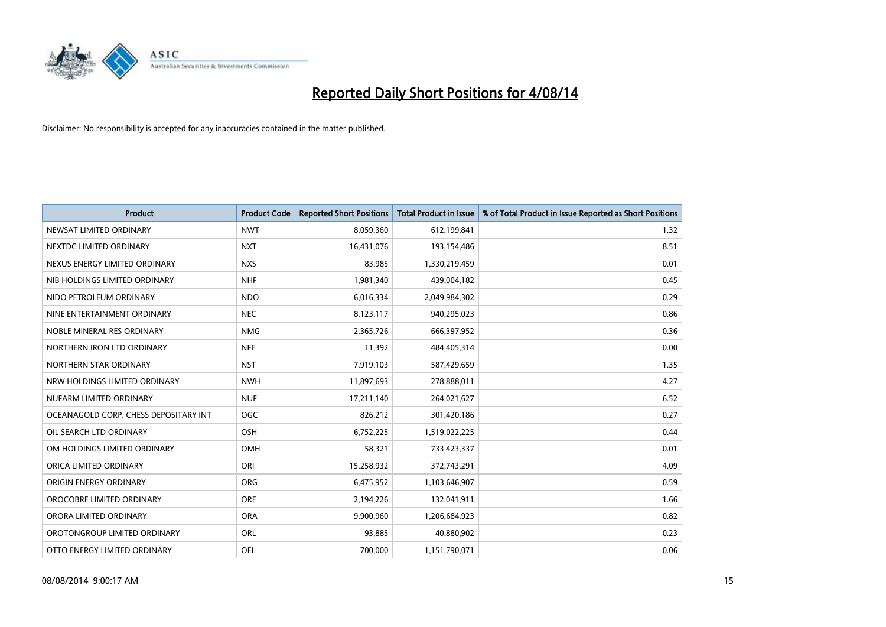

| <b>Product</b>                        | <b>Product Code</b> | <b>Reported Short Positions</b> | <b>Total Product in Issue</b> | % of Total Product in Issue Reported as Short Positions |
|---------------------------------------|---------------------|---------------------------------|-------------------------------|---------------------------------------------------------|
| NEWSAT LIMITED ORDINARY               | <b>NWT</b>          | 8,059,360                       | 612,199,841                   | 1.32                                                    |
| NEXTDC LIMITED ORDINARY               | <b>NXT</b>          | 16,431,076                      | 193,154,486                   | 8.51                                                    |
| NEXUS ENERGY LIMITED ORDINARY         | <b>NXS</b>          | 83,985                          | 1,330,219,459                 | 0.01                                                    |
| NIB HOLDINGS LIMITED ORDINARY         | <b>NHF</b>          | 1,981,340                       | 439,004,182                   | 0.45                                                    |
| NIDO PETROLEUM ORDINARY               | <b>NDO</b>          | 6,016,334                       | 2,049,984,302                 | 0.29                                                    |
| NINE ENTERTAINMENT ORDINARY           | <b>NEC</b>          | 8,123,117                       | 940,295,023                   | 0.86                                                    |
| NOBLE MINERAL RES ORDINARY            | <b>NMG</b>          | 2,365,726                       | 666,397,952                   | 0.36                                                    |
| NORTHERN IRON LTD ORDINARY            | <b>NFE</b>          | 11,392                          | 484,405,314                   | 0.00                                                    |
| NORTHERN STAR ORDINARY                | <b>NST</b>          | 7,919,103                       | 587,429,659                   | 1.35                                                    |
| NRW HOLDINGS LIMITED ORDINARY         | <b>NWH</b>          | 11,897,693                      | 278,888,011                   | 4.27                                                    |
| NUFARM LIMITED ORDINARY               | <b>NUF</b>          | 17,211,140                      | 264,021,627                   | 6.52                                                    |
| OCEANAGOLD CORP. CHESS DEPOSITARY INT | <b>OGC</b>          | 826,212                         | 301,420,186                   | 0.27                                                    |
| OIL SEARCH LTD ORDINARY               | OSH                 | 6,752,225                       | 1,519,022,225                 | 0.44                                                    |
| OM HOLDINGS LIMITED ORDINARY          | OMH                 | 58,321                          | 733,423,337                   | 0.01                                                    |
| ORICA LIMITED ORDINARY                | ORI                 | 15,258,932                      | 372,743,291                   | 4.09                                                    |
| ORIGIN ENERGY ORDINARY                | ORG                 | 6,475,952                       | 1,103,646,907                 | 0.59                                                    |
| OROCOBRE LIMITED ORDINARY             | <b>ORE</b>          | 2,194,226                       | 132,041,911                   | 1.66                                                    |
| ORORA LIMITED ORDINARY                | <b>ORA</b>          | 9,900,960                       | 1,206,684,923                 | 0.82                                                    |
| OROTONGROUP LIMITED ORDINARY          | ORL                 | 93,885                          | 40,880,902                    | 0.23                                                    |
| OTTO ENERGY LIMITED ORDINARY          | <b>OEL</b>          | 700,000                         | 1,151,790,071                 | 0.06                                                    |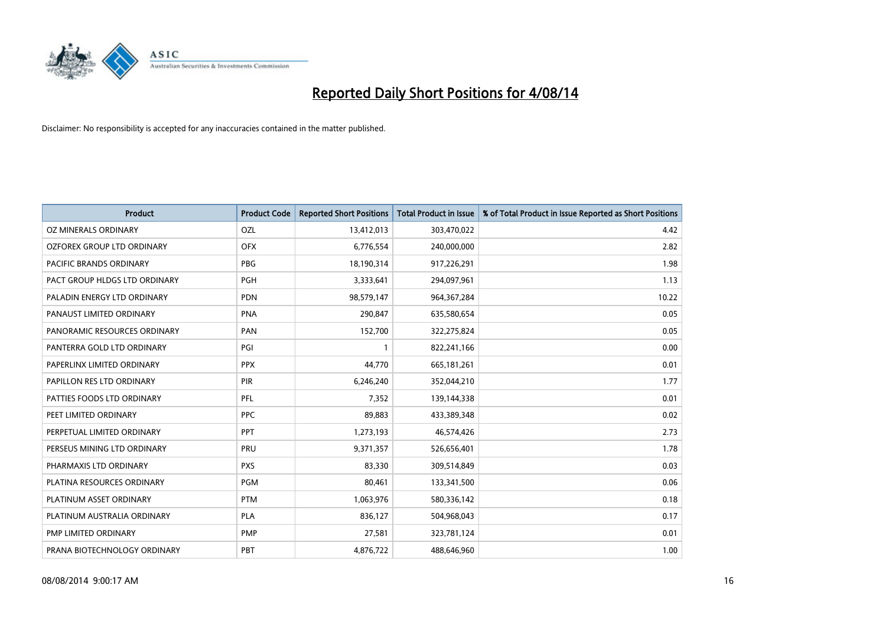

| <b>Product</b>                | <b>Product Code</b> | <b>Reported Short Positions</b> | <b>Total Product in Issue</b> | % of Total Product in Issue Reported as Short Positions |
|-------------------------------|---------------------|---------------------------------|-------------------------------|---------------------------------------------------------|
| <b>OZ MINERALS ORDINARY</b>   | <b>OZL</b>          | 13,412,013                      | 303,470,022                   | 4.42                                                    |
| OZFOREX GROUP LTD ORDINARY    | <b>OFX</b>          | 6,776,554                       | 240,000,000                   | 2.82                                                    |
| PACIFIC BRANDS ORDINARY       | <b>PBG</b>          | 18,190,314                      | 917,226,291                   | 1.98                                                    |
| PACT GROUP HLDGS LTD ORDINARY | <b>PGH</b>          | 3,333,641                       | 294,097,961                   | 1.13                                                    |
| PALADIN ENERGY LTD ORDINARY   | <b>PDN</b>          | 98,579,147                      | 964, 367, 284                 | 10.22                                                   |
| PANAUST LIMITED ORDINARY      | <b>PNA</b>          | 290,847                         | 635,580,654                   | 0.05                                                    |
| PANORAMIC RESOURCES ORDINARY  | PAN                 | 152,700                         | 322,275,824                   | 0.05                                                    |
| PANTERRA GOLD LTD ORDINARY    | PGI                 | $\mathbf{1}$                    | 822,241,166                   | 0.00                                                    |
| PAPERLINX LIMITED ORDINARY    | <b>PPX</b>          | 44,770                          | 665, 181, 261                 | 0.01                                                    |
| PAPILLON RES LTD ORDINARY     | PIR                 | 6,246,240                       | 352,044,210                   | 1.77                                                    |
| PATTIES FOODS LTD ORDINARY    | <b>PFL</b>          | 7,352                           | 139,144,338                   | 0.01                                                    |
| PEET LIMITED ORDINARY         | <b>PPC</b>          | 89,883                          | 433,389,348                   | 0.02                                                    |
| PERPETUAL LIMITED ORDINARY    | <b>PPT</b>          | 1,273,193                       | 46,574,426                    | 2.73                                                    |
| PERSEUS MINING LTD ORDINARY   | PRU                 | 9,371,357                       | 526,656,401                   | 1.78                                                    |
| PHARMAXIS LTD ORDINARY        | <b>PXS</b>          | 83,330                          | 309,514,849                   | 0.03                                                    |
| PLATINA RESOURCES ORDINARY    | <b>PGM</b>          | 80,461                          | 133,341,500                   | 0.06                                                    |
| PLATINUM ASSET ORDINARY       | <b>PTM</b>          | 1,063,976                       | 580,336,142                   | 0.18                                                    |
| PLATINUM AUSTRALIA ORDINARY   | PLA                 | 836,127                         | 504,968,043                   | 0.17                                                    |
| PMP LIMITED ORDINARY          | <b>PMP</b>          | 27,581                          | 323,781,124                   | 0.01                                                    |
| PRANA BIOTECHNOLOGY ORDINARY  | PBT                 | 4,876,722                       | 488,646,960                   | 1.00                                                    |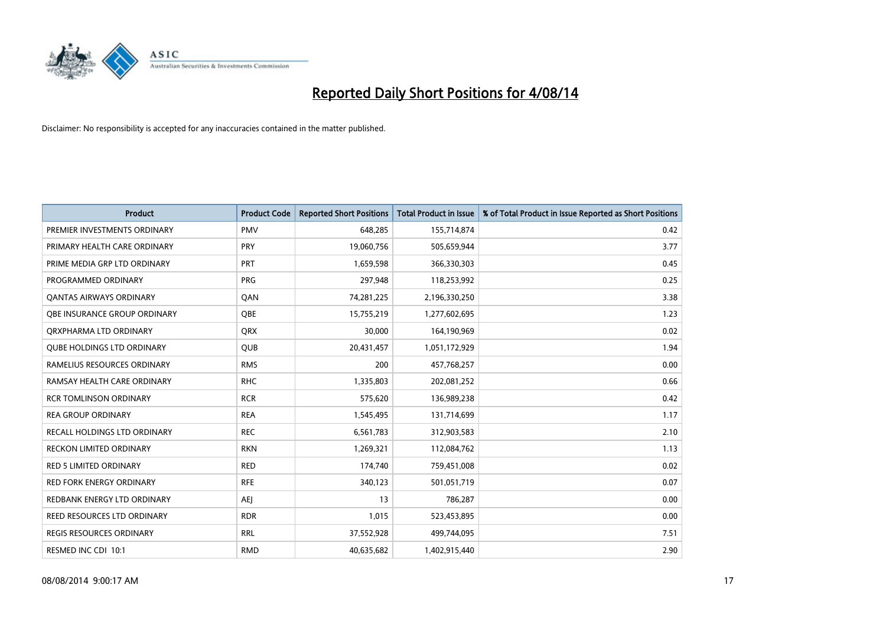

| <b>Product</b>                    | <b>Product Code</b> | <b>Reported Short Positions</b> | <b>Total Product in Issue</b> | % of Total Product in Issue Reported as Short Positions |
|-----------------------------------|---------------------|---------------------------------|-------------------------------|---------------------------------------------------------|
| PREMIER INVESTMENTS ORDINARY      | <b>PMV</b>          | 648,285                         | 155,714,874                   | 0.42                                                    |
| PRIMARY HEALTH CARE ORDINARY      | <b>PRY</b>          | 19,060,756                      | 505,659,944                   | 3.77                                                    |
| PRIME MEDIA GRP LTD ORDINARY      | <b>PRT</b>          | 1,659,598                       | 366,330,303                   | 0.45                                                    |
| PROGRAMMED ORDINARY               | <b>PRG</b>          | 297,948                         | 118,253,992                   | 0.25                                                    |
| <b>QANTAS AIRWAYS ORDINARY</b>    | QAN                 | 74,281,225                      | 2,196,330,250                 | 3.38                                                    |
| OBE INSURANCE GROUP ORDINARY      | <b>OBE</b>          | 15,755,219                      | 1,277,602,695                 | 1.23                                                    |
| ORXPHARMA LTD ORDINARY            | <b>QRX</b>          | 30,000                          | 164,190,969                   | 0.02                                                    |
| <b>QUBE HOLDINGS LTD ORDINARY</b> | <b>QUB</b>          | 20,431,457                      | 1,051,172,929                 | 1.94                                                    |
| RAMELIUS RESOURCES ORDINARY       | <b>RMS</b>          | 200                             | 457,768,257                   | 0.00                                                    |
| RAMSAY HEALTH CARE ORDINARY       | <b>RHC</b>          | 1,335,803                       | 202,081,252                   | 0.66                                                    |
| <b>RCR TOMLINSON ORDINARY</b>     | <b>RCR</b>          | 575,620                         | 136,989,238                   | 0.42                                                    |
| <b>REA GROUP ORDINARY</b>         | <b>REA</b>          | 1,545,495                       | 131,714,699                   | 1.17                                                    |
| RECALL HOLDINGS LTD ORDINARY      | <b>REC</b>          | 6,561,783                       | 312,903,583                   | 2.10                                                    |
| <b>RECKON LIMITED ORDINARY</b>    | <b>RKN</b>          | 1,269,321                       | 112,084,762                   | 1.13                                                    |
| <b>RED 5 LIMITED ORDINARY</b>     | <b>RED</b>          | 174,740                         | 759,451,008                   | 0.02                                                    |
| RED FORK ENERGY ORDINARY          | <b>RFE</b>          | 340,123                         | 501,051,719                   | 0.07                                                    |
| REDBANK ENERGY LTD ORDINARY       | AEJ                 | 13                              | 786,287                       | 0.00                                                    |
| REED RESOURCES LTD ORDINARY       | <b>RDR</b>          | 1,015                           | 523,453,895                   | 0.00                                                    |
| <b>REGIS RESOURCES ORDINARY</b>   | <b>RRL</b>          | 37,552,928                      | 499,744,095                   | 7.51                                                    |
| RESMED INC CDI 10:1               | <b>RMD</b>          | 40,635,682                      | 1,402,915,440                 | 2.90                                                    |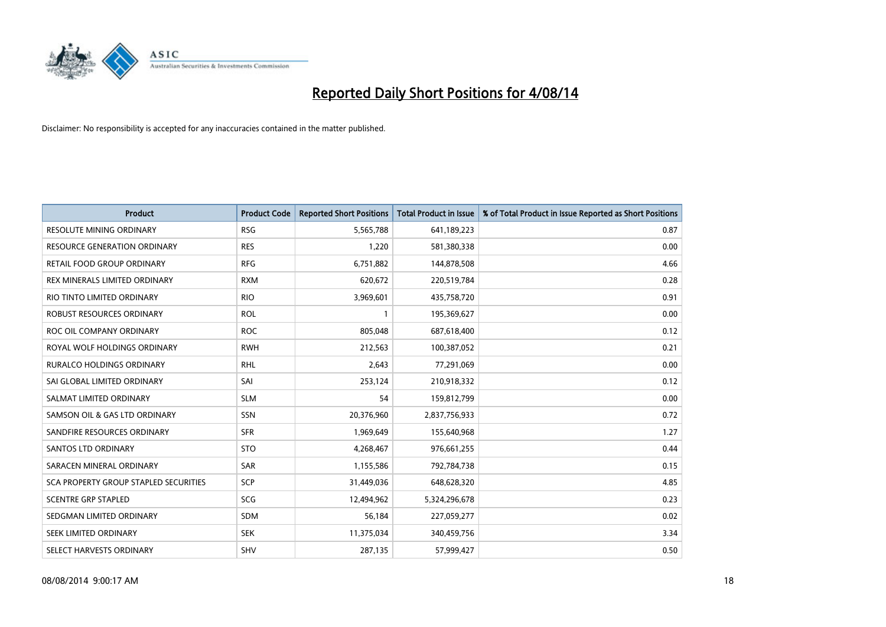

| <b>Product</b>                        | <b>Product Code</b> | <b>Reported Short Positions</b> | <b>Total Product in Issue</b> | % of Total Product in Issue Reported as Short Positions |
|---------------------------------------|---------------------|---------------------------------|-------------------------------|---------------------------------------------------------|
| <b>RESOLUTE MINING ORDINARY</b>       | <b>RSG</b>          | 5,565,788                       | 641,189,223                   | 0.87                                                    |
| RESOURCE GENERATION ORDINARY          | <b>RES</b>          | 1,220                           | 581,380,338                   | 0.00                                                    |
| RETAIL FOOD GROUP ORDINARY            | <b>RFG</b>          | 6,751,882                       | 144,878,508                   | 4.66                                                    |
| REX MINERALS LIMITED ORDINARY         | <b>RXM</b>          | 620,672                         | 220,519,784                   | 0.28                                                    |
| RIO TINTO LIMITED ORDINARY            | <b>RIO</b>          | 3,969,601                       | 435,758,720                   | 0.91                                                    |
| <b>ROBUST RESOURCES ORDINARY</b>      | <b>ROL</b>          | $\mathbf{1}$                    | 195,369,627                   | 0.00                                                    |
| ROC OIL COMPANY ORDINARY              | <b>ROC</b>          | 805,048                         | 687,618,400                   | 0.12                                                    |
| ROYAL WOLF HOLDINGS ORDINARY          | <b>RWH</b>          | 212,563                         | 100,387,052                   | 0.21                                                    |
| <b>RURALCO HOLDINGS ORDINARY</b>      | <b>RHL</b>          | 2,643                           | 77,291,069                    | 0.00                                                    |
| SAI GLOBAL LIMITED ORDINARY           | SAI                 | 253,124                         | 210,918,332                   | 0.12                                                    |
| SALMAT LIMITED ORDINARY               | <b>SLM</b>          | 54                              | 159,812,799                   | 0.00                                                    |
| SAMSON OIL & GAS LTD ORDINARY         | SSN                 | 20,376,960                      | 2,837,756,933                 | 0.72                                                    |
| SANDFIRE RESOURCES ORDINARY           | <b>SFR</b>          | 1,969,649                       | 155,640,968                   | 1.27                                                    |
| <b>SANTOS LTD ORDINARY</b>            | <b>STO</b>          | 4,268,467                       | 976,661,255                   | 0.44                                                    |
| SARACEN MINERAL ORDINARY              | <b>SAR</b>          | 1,155,586                       | 792,784,738                   | 0.15                                                    |
| SCA PROPERTY GROUP STAPLED SECURITIES | SCP                 | 31,449,036                      | 648,628,320                   | 4.85                                                    |
| <b>SCENTRE GRP STAPLED</b>            | SCG                 | 12,494,962                      | 5,324,296,678                 | 0.23                                                    |
| SEDGMAN LIMITED ORDINARY              | <b>SDM</b>          | 56,184                          | 227,059,277                   | 0.02                                                    |
| SEEK LIMITED ORDINARY                 | <b>SEK</b>          | 11,375,034                      | 340,459,756                   | 3.34                                                    |
| SELECT HARVESTS ORDINARY              | <b>SHV</b>          | 287,135                         | 57,999,427                    | 0.50                                                    |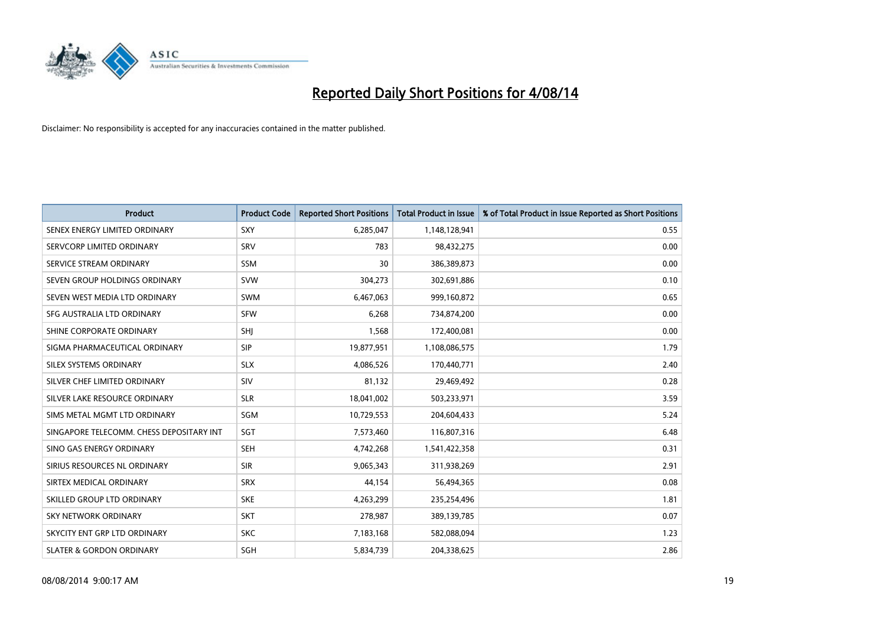

| <b>Product</b>                           | <b>Product Code</b> | <b>Reported Short Positions</b> | <b>Total Product in Issue</b> | % of Total Product in Issue Reported as Short Positions |
|------------------------------------------|---------------------|---------------------------------|-------------------------------|---------------------------------------------------------|
| SENEX ENERGY LIMITED ORDINARY            | SXY                 | 6,285,047                       | 1,148,128,941                 | 0.55                                                    |
| SERVCORP LIMITED ORDINARY                | SRV                 | 783                             | 98,432,275                    | 0.00                                                    |
| SERVICE STREAM ORDINARY                  | <b>SSM</b>          | 30                              | 386,389,873                   | 0.00                                                    |
| SEVEN GROUP HOLDINGS ORDINARY            | <b>SVW</b>          | 304,273                         | 302,691,886                   | 0.10                                                    |
| SEVEN WEST MEDIA LTD ORDINARY            | <b>SWM</b>          | 6,467,063                       | 999,160,872                   | 0.65                                                    |
| SFG AUSTRALIA LTD ORDINARY               | <b>SFW</b>          | 6,268                           | 734,874,200                   | 0.00                                                    |
| SHINE CORPORATE ORDINARY                 | <b>SHI</b>          | 1,568                           | 172,400,081                   | 0.00                                                    |
| SIGMA PHARMACEUTICAL ORDINARY            | <b>SIP</b>          | 19,877,951                      | 1,108,086,575                 | 1.79                                                    |
| SILEX SYSTEMS ORDINARY                   | <b>SLX</b>          | 4,086,526                       | 170,440,771                   | 2.40                                                    |
| SILVER CHEF LIMITED ORDINARY             | SIV                 | 81,132                          | 29,469,492                    | 0.28                                                    |
| SILVER LAKE RESOURCE ORDINARY            | <b>SLR</b>          | 18,041,002                      | 503,233,971                   | 3.59                                                    |
| SIMS METAL MGMT LTD ORDINARY             | SGM                 | 10,729,553                      | 204,604,433                   | 5.24                                                    |
| SINGAPORE TELECOMM. CHESS DEPOSITARY INT | SGT                 | 7,573,460                       | 116,807,316                   | 6.48                                                    |
| SINO GAS ENERGY ORDINARY                 | SEH                 | 4,742,268                       | 1,541,422,358                 | 0.31                                                    |
| SIRIUS RESOURCES NL ORDINARY             | <b>SIR</b>          | 9,065,343                       | 311,938,269                   | 2.91                                                    |
| SIRTEX MEDICAL ORDINARY                  | <b>SRX</b>          | 44,154                          | 56,494,365                    | 0.08                                                    |
| SKILLED GROUP LTD ORDINARY               | <b>SKE</b>          | 4,263,299                       | 235,254,496                   | 1.81                                                    |
| <b>SKY NETWORK ORDINARY</b>              | <b>SKT</b>          | 278,987                         | 389,139,785                   | 0.07                                                    |
| SKYCITY ENT GRP LTD ORDINARY             | <b>SKC</b>          | 7,183,168                       | 582,088,094                   | 1.23                                                    |
| <b>SLATER &amp; GORDON ORDINARY</b>      | SGH                 | 5,834,739                       | 204,338,625                   | 2.86                                                    |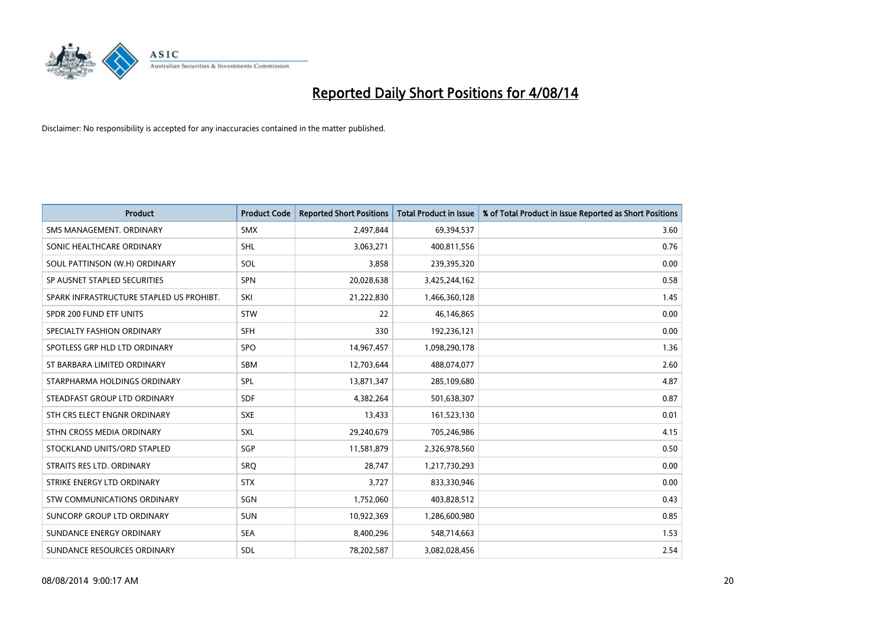

| <b>Product</b>                           | <b>Product Code</b> | <b>Reported Short Positions</b> | <b>Total Product in Issue</b> | % of Total Product in Issue Reported as Short Positions |
|------------------------------------------|---------------------|---------------------------------|-------------------------------|---------------------------------------------------------|
| SMS MANAGEMENT, ORDINARY                 | <b>SMX</b>          | 2,497,844                       | 69,394,537                    | 3.60                                                    |
| SONIC HEALTHCARE ORDINARY                | <b>SHL</b>          | 3,063,271                       | 400,811,556                   | 0.76                                                    |
| SOUL PATTINSON (W.H) ORDINARY            | <b>SOL</b>          | 3,858                           | 239,395,320                   | 0.00                                                    |
| SP AUSNET STAPLED SECURITIES             | <b>SPN</b>          | 20,028,638                      | 3,425,244,162                 | 0.58                                                    |
| SPARK INFRASTRUCTURE STAPLED US PROHIBT. | SKI                 | 21,222,830                      | 1,466,360,128                 | 1.45                                                    |
| SPDR 200 FUND ETF UNITS                  | <b>STW</b>          | 22                              | 46,146,865                    | 0.00                                                    |
| SPECIALTY FASHION ORDINARY               | <b>SFH</b>          | 330                             | 192,236,121                   | 0.00                                                    |
| SPOTLESS GRP HLD LTD ORDINARY            | <b>SPO</b>          | 14,967,457                      | 1,098,290,178                 | 1.36                                                    |
| ST BARBARA LIMITED ORDINARY              | <b>SBM</b>          | 12,703,644                      | 488,074,077                   | 2.60                                                    |
| STARPHARMA HOLDINGS ORDINARY             | <b>SPL</b>          | 13,871,347                      | 285,109,680                   | 4.87                                                    |
| STEADFAST GROUP LTD ORDINARY             | <b>SDF</b>          | 4,382,264                       | 501,638,307                   | 0.87                                                    |
| STH CRS ELECT ENGNR ORDINARY             | <b>SXE</b>          | 13,433                          | 161,523,130                   | 0.01                                                    |
| STHN CROSS MEDIA ORDINARY                | SXL                 | 29,240,679                      | 705,246,986                   | 4.15                                                    |
| STOCKLAND UNITS/ORD STAPLED              | SGP                 | 11,581,879                      | 2,326,978,560                 | 0.50                                                    |
| STRAITS RES LTD. ORDINARY                | SRQ                 | 28,747                          | 1,217,730,293                 | 0.00                                                    |
| STRIKE ENERGY LTD ORDINARY               | <b>STX</b>          | 3,727                           | 833,330,946                   | 0.00                                                    |
| STW COMMUNICATIONS ORDINARY              | SGN                 | 1,752,060                       | 403,828,512                   | 0.43                                                    |
| SUNCORP GROUP LTD ORDINARY               | <b>SUN</b>          | 10,922,369                      | 1,286,600,980                 | 0.85                                                    |
| SUNDANCE ENERGY ORDINARY                 | <b>SEA</b>          | 8,400,296                       | 548,714,663                   | 1.53                                                    |
| SUNDANCE RESOURCES ORDINARY              | <b>SDL</b>          | 78,202,587                      | 3,082,028,456                 | 2.54                                                    |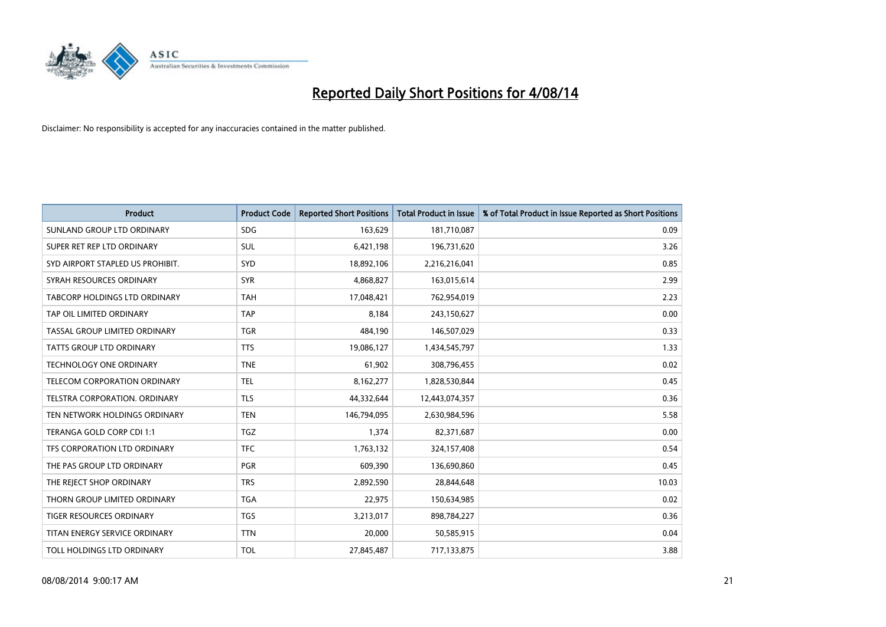

| <b>Product</b>                   | <b>Product Code</b> | <b>Reported Short Positions</b> | <b>Total Product in Issue</b> | % of Total Product in Issue Reported as Short Positions |
|----------------------------------|---------------------|---------------------------------|-------------------------------|---------------------------------------------------------|
| SUNLAND GROUP LTD ORDINARY       | <b>SDG</b>          | 163,629                         | 181,710,087                   | 0.09                                                    |
| SUPER RET REP LTD ORDINARY       | <b>SUL</b>          | 6,421,198                       | 196,731,620                   | 3.26                                                    |
| SYD AIRPORT STAPLED US PROHIBIT. | <b>SYD</b>          | 18,892,106                      | 2,216,216,041                 | 0.85                                                    |
| SYRAH RESOURCES ORDINARY         | <b>SYR</b>          | 4,868,827                       | 163,015,614                   | 2.99                                                    |
| TABCORP HOLDINGS LTD ORDINARY    | <b>TAH</b>          | 17,048,421                      | 762,954,019                   | 2.23                                                    |
| TAP OIL LIMITED ORDINARY         | <b>TAP</b>          | 8,184                           | 243,150,627                   | 0.00                                                    |
| TASSAL GROUP LIMITED ORDINARY    | TGR                 | 484,190                         | 146,507,029                   | 0.33                                                    |
| TATTS GROUP LTD ORDINARY         | <b>TTS</b>          | 19,086,127                      | 1,434,545,797                 | 1.33                                                    |
| <b>TECHNOLOGY ONE ORDINARY</b>   | <b>TNE</b>          | 61,902                          | 308,796,455                   | 0.02                                                    |
| TELECOM CORPORATION ORDINARY     | <b>TEL</b>          | 8,162,277                       | 1,828,530,844                 | 0.45                                                    |
| TELSTRA CORPORATION. ORDINARY    | <b>TLS</b>          | 44,332,644                      | 12,443,074,357                | 0.36                                                    |
| TEN NETWORK HOLDINGS ORDINARY    | <b>TEN</b>          | 146,794,095                     | 2,630,984,596                 | 5.58                                                    |
| TERANGA GOLD CORP CDI 1:1        | TGZ                 | 1,374                           | 82,371,687                    | 0.00                                                    |
| TFS CORPORATION LTD ORDINARY     | <b>TFC</b>          | 1,763,132                       | 324,157,408                   | 0.54                                                    |
| THE PAS GROUP LTD ORDINARY       | <b>PGR</b>          | 609,390                         | 136,690,860                   | 0.45                                                    |
| THE REJECT SHOP ORDINARY         | <b>TRS</b>          | 2,892,590                       | 28,844,648                    | 10.03                                                   |
| THORN GROUP LIMITED ORDINARY     | <b>TGA</b>          | 22,975                          | 150,634,985                   | 0.02                                                    |
| TIGER RESOURCES ORDINARY         | <b>TGS</b>          | 3,213,017                       | 898,784,227                   | 0.36                                                    |
| TITAN ENERGY SERVICE ORDINARY    | <b>TTN</b>          | 20,000                          | 50,585,915                    | 0.04                                                    |
| TOLL HOLDINGS LTD ORDINARY       | <b>TOL</b>          | 27,845,487                      | 717,133,875                   | 3.88                                                    |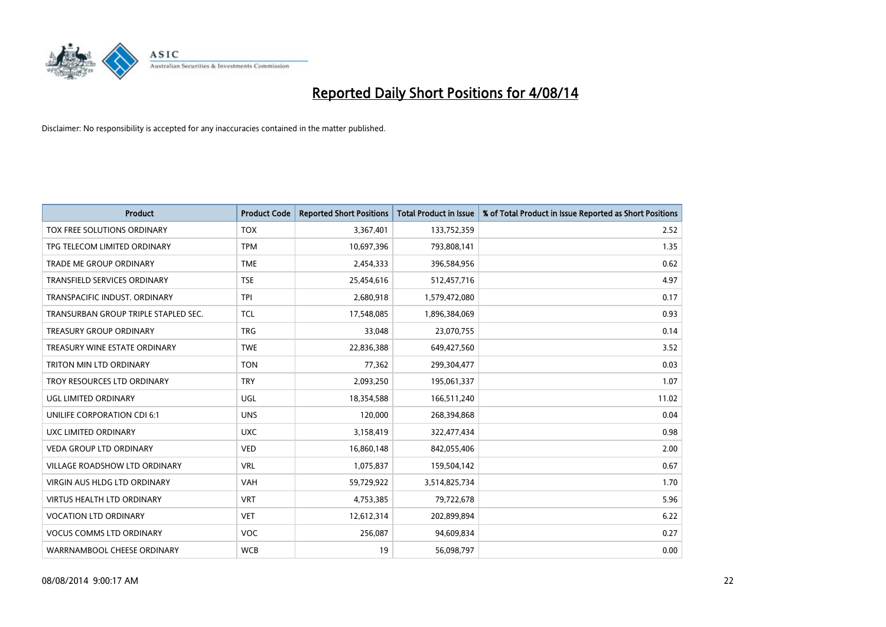

| <b>Product</b>                       | <b>Product Code</b> | <b>Reported Short Positions</b> | <b>Total Product in Issue</b> | % of Total Product in Issue Reported as Short Positions |
|--------------------------------------|---------------------|---------------------------------|-------------------------------|---------------------------------------------------------|
| TOX FREE SOLUTIONS ORDINARY          | <b>TOX</b>          | 3,367,401                       | 133,752,359                   | 2.52                                                    |
| TPG TELECOM LIMITED ORDINARY         | <b>TPM</b>          | 10,697,396                      | 793,808,141                   | 1.35                                                    |
| <b>TRADE ME GROUP ORDINARY</b>       | <b>TME</b>          | 2,454,333                       | 396,584,956                   | 0.62                                                    |
| <b>TRANSFIELD SERVICES ORDINARY</b>  | <b>TSE</b>          | 25,454,616                      | 512,457,716                   | 4.97                                                    |
| TRANSPACIFIC INDUST, ORDINARY        | <b>TPI</b>          | 2,680,918                       | 1,579,472,080                 | 0.17                                                    |
| TRANSURBAN GROUP TRIPLE STAPLED SEC. | <b>TCL</b>          | 17,548,085                      | 1,896,384,069                 | 0.93                                                    |
| TREASURY GROUP ORDINARY              | <b>TRG</b>          | 33,048                          | 23,070,755                    | 0.14                                                    |
| TREASURY WINE ESTATE ORDINARY        | <b>TWE</b>          | 22,836,388                      | 649,427,560                   | 3.52                                                    |
| TRITON MIN LTD ORDINARY              | <b>TON</b>          | 77,362                          | 299,304,477                   | 0.03                                                    |
| TROY RESOURCES LTD ORDINARY          | <b>TRY</b>          | 2,093,250                       | 195,061,337                   | 1.07                                                    |
| UGL LIMITED ORDINARY                 | UGL                 | 18,354,588                      | 166,511,240                   | 11.02                                                   |
| UNILIFE CORPORATION CDI 6:1          | <b>UNS</b>          | 120,000                         | 268,394,868                   | 0.04                                                    |
| UXC LIMITED ORDINARY                 | <b>UXC</b>          | 3,158,419                       | 322,477,434                   | 0.98                                                    |
| <b>VEDA GROUP LTD ORDINARY</b>       | <b>VED</b>          | 16,860,148                      | 842,055,406                   | 2.00                                                    |
| VILLAGE ROADSHOW LTD ORDINARY        | <b>VRL</b>          | 1,075,837                       | 159,504,142                   | 0.67                                                    |
| VIRGIN AUS HLDG LTD ORDINARY         | <b>VAH</b>          | 59,729,922                      | 3,514,825,734                 | 1.70                                                    |
| VIRTUS HEALTH LTD ORDINARY           | <b>VRT</b>          | 4,753,385                       | 79,722,678                    | 5.96                                                    |
| <b>VOCATION LTD ORDINARY</b>         | <b>VET</b>          | 12,612,314                      | 202,899,894                   | 6.22                                                    |
| <b>VOCUS COMMS LTD ORDINARY</b>      | <b>VOC</b>          | 256,087                         | 94,609,834                    | 0.27                                                    |
| WARRNAMBOOL CHEESE ORDINARY          | <b>WCB</b>          | 19                              | 56,098,797                    | 0.00                                                    |